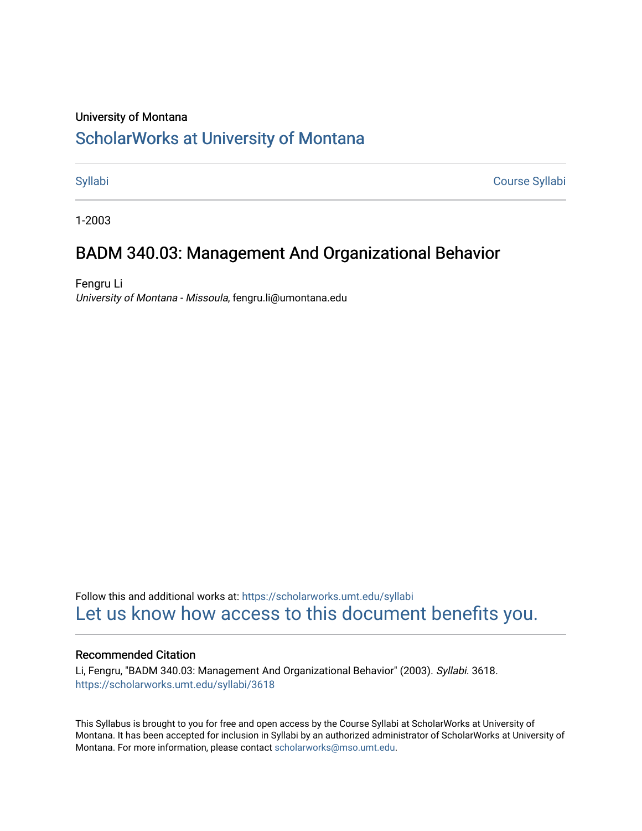#### University of Montana

# [ScholarWorks at University of Montana](https://scholarworks.umt.edu/)

[Syllabi](https://scholarworks.umt.edu/syllabi) [Course Syllabi](https://scholarworks.umt.edu/course_syllabi) 

1-2003

# BADM 340.03: Management And Organizational Behavior

Fengru Li University of Montana - Missoula, fengru.li@umontana.edu

Follow this and additional works at: [https://scholarworks.umt.edu/syllabi](https://scholarworks.umt.edu/syllabi?utm_source=scholarworks.umt.edu%2Fsyllabi%2F3618&utm_medium=PDF&utm_campaign=PDFCoverPages)  [Let us know how access to this document benefits you.](https://goo.gl/forms/s2rGfXOLzz71qgsB2) 

## Recommended Citation

Li, Fengru, "BADM 340.03: Management And Organizational Behavior" (2003). Syllabi. 3618. [https://scholarworks.umt.edu/syllabi/3618](https://scholarworks.umt.edu/syllabi/3618?utm_source=scholarworks.umt.edu%2Fsyllabi%2F3618&utm_medium=PDF&utm_campaign=PDFCoverPages)

This Syllabus is brought to you for free and open access by the Course Syllabi at ScholarWorks at University of Montana. It has been accepted for inclusion in Syllabi by an authorized administrator of ScholarWorks at University of Montana. For more information, please contact [scholarworks@mso.umt.edu.](mailto:scholarworks@mso.umt.edu)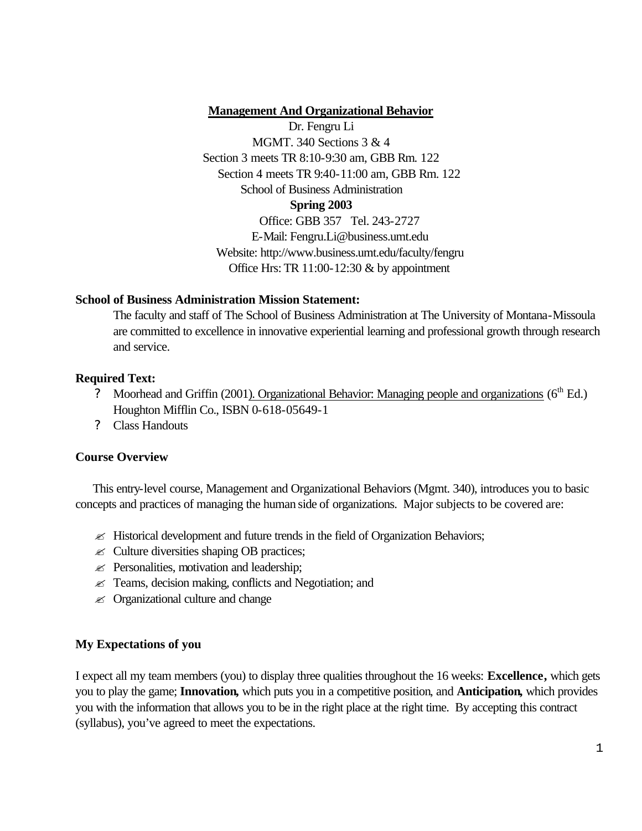## **Management And Organizational Behavior**

Dr. Fengru Li MGMT. 340 Sections 3 & 4 Section 3 meets TR 8:10-9:30 am, GBB Rm. 122 Section 4 meets TR 9:40-11:00 am, GBB Rm. 122 School of Business Administration **Spring 2003**  Office: GBB 357 Tel. 243-2727 E-Mail: Fengru.Li@business.umt.edu Website: http://www.business.umt.edu/faculty/fengru Office Hrs: TR 11:00-12:30 & by appointment

## **School of Business Administration Mission Statement:**

The faculty and staff of The School of Business Administration at The University of Montana-Missoula are committed to excellence in innovative experiential learning and professional growth through research and service.

## **Required Text:**

- ? Moorhead and Griffin (2001). Organizational Behavior: Managing people and organizations ( $6<sup>th</sup> Ed.$ ) Houghton Mifflin Co., ISBN 0-618-05649-1
- ? Class Handouts

#### **Course Overview**

This entry-level course, Management and Organizational Behaviors (Mgmt. 340), introduces you to basic concepts and practices of managing the human side of organizations. Major subjects to be covered are:

- $\mathcal{L}$  Historical development and future trends in the field of Organization Behaviors;
- $\mathscr{\mathscr{E}}$  Culture diversities shaping OB practices;
- $\mathscr{A}$  Personalities, motivation and leadership;
- $\mathscr{L}$  Teams, decision making, conflicts and Negotiation; and
- $\mathscr{\mathscr{A}}$  Organizational culture and change

## **My Expectations of you**

I expect all my team members (you) to display three qualities throughout the 16 weeks: **Excellence,** which gets you to play the game; **Innovation,** which puts you in a competitive position, and **Anticipation,** which provides you with the information that allows you to be in the right place at the right time. By accepting this contract (syllabus), you've agreed to meet the expectations.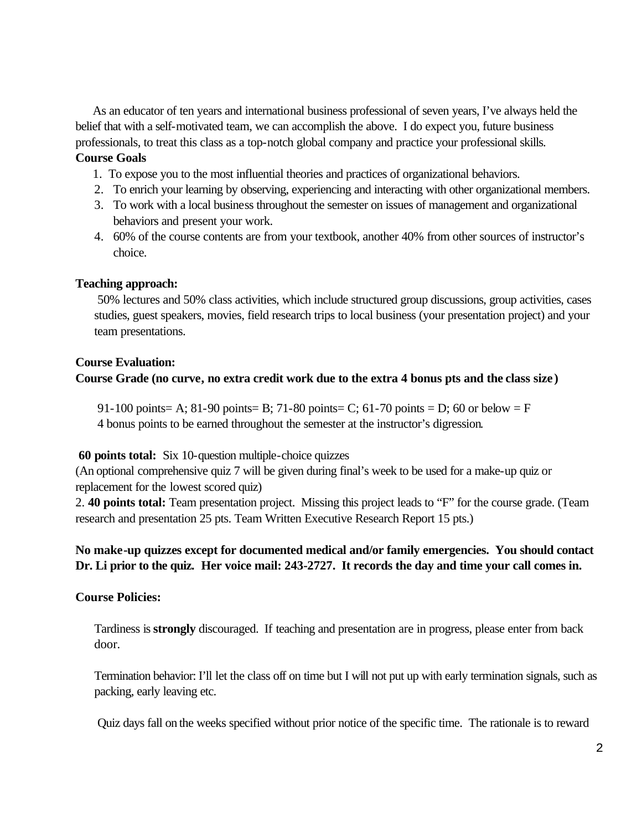As an educator of ten years and international business professional of seven years, I've always held the belief that with a self-motivated team, we can accomplish the above. I do expect you, future business professionals, to treat this class as a top-notch global company and practice your professional skills.

# **Course Goals**

- 1. To expose you to the most influential theories and practices of organizational behaviors.
- 2. To enrich your learning by observing, experiencing and interacting with other organizational members.
- 3. To work with a local business throughout the semester on issues of management and organizational behaviors and present your work.
- 4. 60% of the course contents are from your textbook, another 40% from other sources of instructor's choice.

# **Teaching approach:**

50% lectures and 50% class activities, which include structured group discussions, group activities, cases studies, guest speakers, movies, field research trips to local business (your presentation project) and your team presentations.

# **Course Evaluation:**

# **Course Grade (no curve, no extra credit work due to the extra 4 bonus pts and the class size )**

91-100 points= A; 81-90 points= B; 71-80 points= C; 61-70 points = D; 60 or below = F 4 bonus points to be earned throughout the semester at the instructor's digression.

## 60 points total: Six 10-question multiple-choice quizzes

replacement for the lowest scored quiz) (An optional comprehensive quiz 7 will be given during final's week to be used for a make-up quiz or

2. **40 points total:** Team presentation project. Missing this project leads to "F" for the course grade. (Team research and presentation 25 pts. Team Written Executive Research Report 15 pts.)

# **Dr. Li prior to the quiz. Her voice mail: 243-2727. It records the day and time your call comes in. No make-up quizzes except for documented medical and/or family emergencies. You should contact**

# **Course Policies:**

Tardiness is **strongly** discouraged. If teaching and presentation are in progress, please enter from back door.

Termination behavior: I'll let the class off on time but I will not put up with early termination signals, such as packing, early leaving etc.

Quiz days fall on the weeks specified without prior notice of the specific time. The rationale is to reward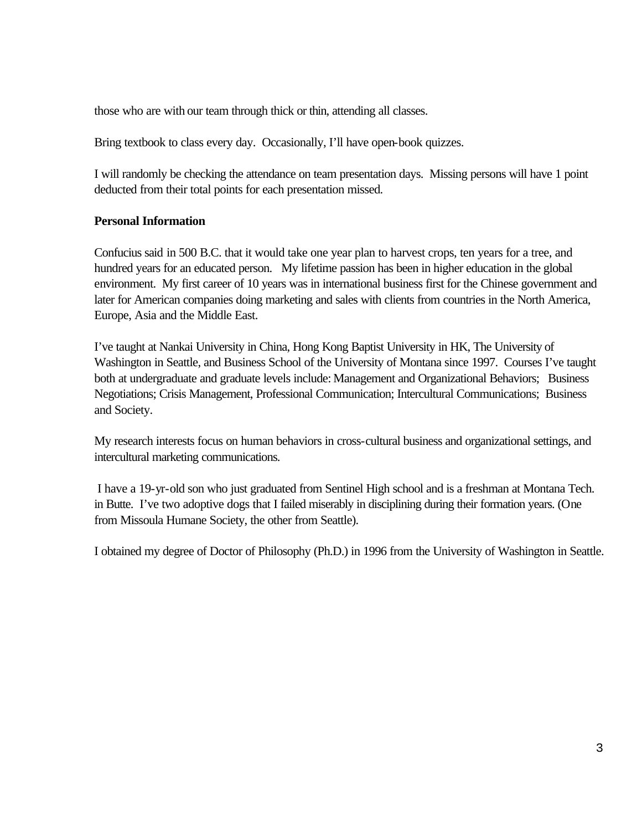those who are with our team through thick or thin, attending all classes.

Bring textbook to class every day. Occasionally, I'll have open-book quizzes.

I will randomly be checking the attendance on team presentation days. Missing persons will have 1 point deducted from their total points for each presentation missed.

# **Personal Information**

Confucius said in 500 B.C. that it would take one year plan to harvest crops, ten years for a tree, and hundred years for an educated person. My lifetime passion has been in higher education in the global environment. My first career of 10 years was in international business first for the Chinese government and later for American companies doing marketing and sales with clients from countries in the North America, Europe, Asia and the Middle East.

I've taught at Nankai University in China, Hong Kong Baptist University in HK, The University of Washington in Seattle, and Business School of the University of Montana since 1997. Courses I've taught both at undergraduate and graduate levels include: Management and Organizational Behaviors; Business Negotiations; Crisis Management, Professional Communication; Intercultural Communications; Business and Society.

My research interests focus on human behaviors in cross-cultural business and organizational settings, and intercultural marketing communications.

 I have a 19-yr-old son who just graduated from Sentinel High school and is a freshman at Montana Tech. in Butte. I've two adoptive dogs that I failed miserably in disciplining during their formation years. (One from Missoula Humane Society, the other from Seattle).

I obtained my degree of Doctor of Philosophy (Ph.D.) in 1996 from the University of Washington in Seattle.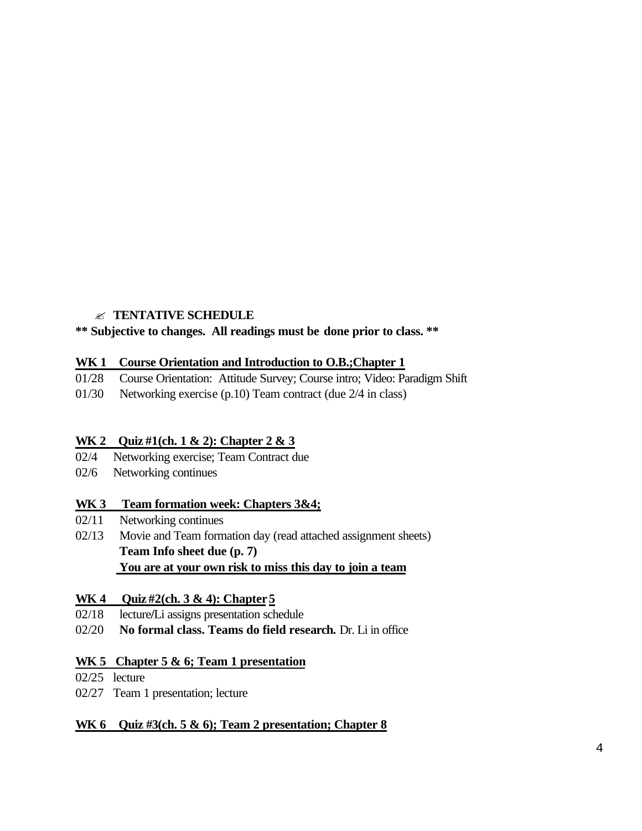## � **TENTATIVE SCHEDULE**

## **\*\* Subjective to changes. All readings must be done prior to class. \*\***

## **WK 1 Course Orientation and Introduction to O.B.;Chapter 1**

- 01/28 Course Orientation: Attitude Survey; Course intro; Video: Paradigm Shift
- 01/30 Networking exercise (p.10) Team contract (due 2/4 in class)

#### **WK 2 Quiz #1(ch. 1 & 2): Chapter 2 & 3**

- 02/4 Networking exercise; Team Contract due
- 02/6 Networking continues

## **WK 3 Team formation week: Chapters 3&4;**

- 02/11 Networking continues
- 02/13 Movie and Team formation day (read attached assignment sheets) **Team Info sheet due (p. 7) You are at your own risk to miss this day to join a team**

## **WK 4 Quiz #2(ch. 3 & 4): Chapter 5**

- $02/18$ lecture/Li assigns presentation schedule
- $02/20$ 02/20 **No formal class. Teams do field research.** Dr. Li in office

## **WK 5 Chapter 5 & 6; Team 1 presentation**

- 02/25 lecture
- 02/27 Team 1 presentation; lecture

## **WK 6 Quiz #3(ch. 5 & 6); Team 2 presentation; Chapter 8**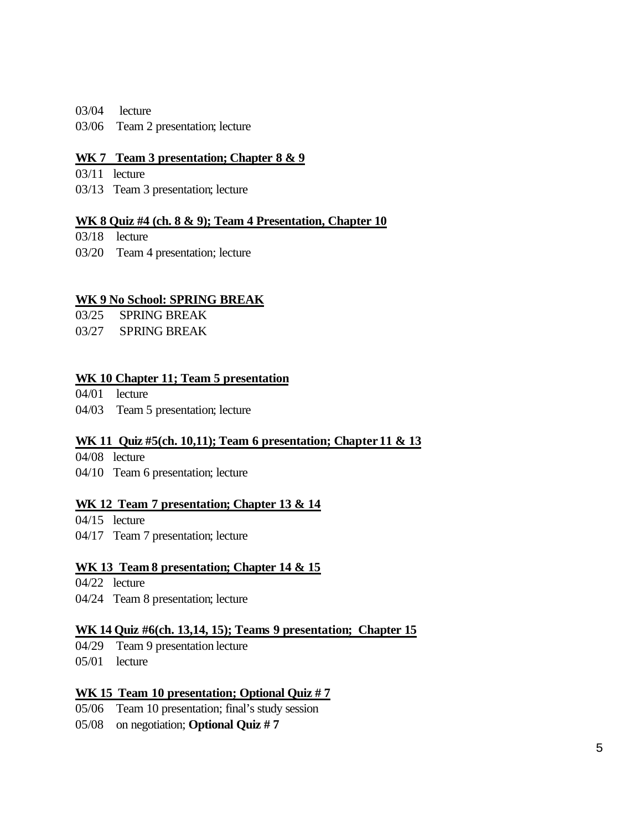03/04 lecture

03/06 Team 2 presentation; lecture

## **WK 7 Team 3 presentation; Chapter 8 & 9**

03/11 lecture

03/13 Team 3 presentation; lecture

## **WK 8 Quiz #4 (ch. 8 & 9); Team 4 Presentation, Chapter 10**

- 03/18 lecture
- 03/20 Team 4 presentation; lecture

## **WK 9 No School: SPRING BREAK**

- 03/25 SPRING BREAK
- $03/27$ SPRING BREAK

## **WK 10 Chapter 11; Team 5 presentation**

- 04/01 lecture
- 04/03 Team 5 presentation; lecture

#### **WK 11 Quiz #5(ch. 10,11); Team 6 presentation; Chapter 11 & 13**

04/08 lecture

04/10 Team 6 presentation; lecture

#### **WK 12 Team 7 presentation; Chapter 13 & 14**

04/15 lecture

04/17 Team 7 presentation; lecture

#### **WK 13 Team 8 presentation; Chapter 14 & 15**

- 04/22 lecture
- 04/24 Team 8 presentation; lecture

# **WK 14 Quiz #6(ch. 13,14, 15); Teams 9 presentation; Chapter 15**

- 04/29 Team 9 presentation lecture 05/01 lecture
- $05/01$  lecture

#### **WK 15 Team 10 presentation; Optional Quiz # 7**

- 05/06 Team 10 presentation; final's study session
- 05/08 on negotiation; **Optional Quiz # 7**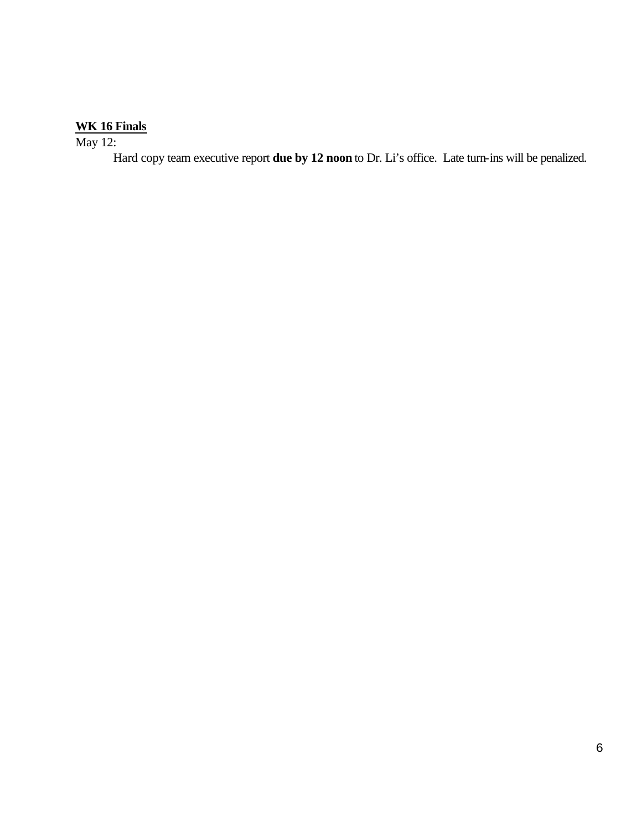## **WK 16 Finals**

May 12:

Hard copy team executive report **due by 12 noon** to Dr. Li's office. Late turn-ins will be penalized.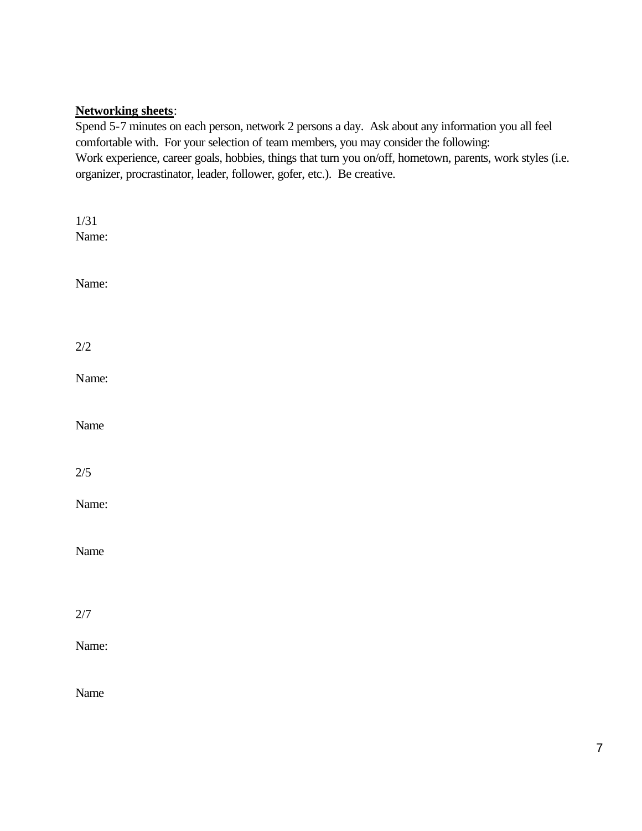# **Networking sheets**:

Spend 5-7 minutes on each person, network 2 persons a day. Ask about any information you all feel comfortable with. For your selection of team members, you may consider the following: Work experience, career goals, hobbies, things that turn you on/off, hometown, parents, work styles (i.e. organizer, procrastinator, leader, follower, gofer, etc.). Be creative.

| $1/31\,$<br>Name: |  |  |
|-------------------|--|--|
| Name:             |  |  |
| $2\slash 2$       |  |  |
| Name:             |  |  |
| Name              |  |  |
| $2/5\,$           |  |  |
| Name:             |  |  |
| Name              |  |  |
| $2/7\,$           |  |  |
| Name:             |  |  |
| Name              |  |  |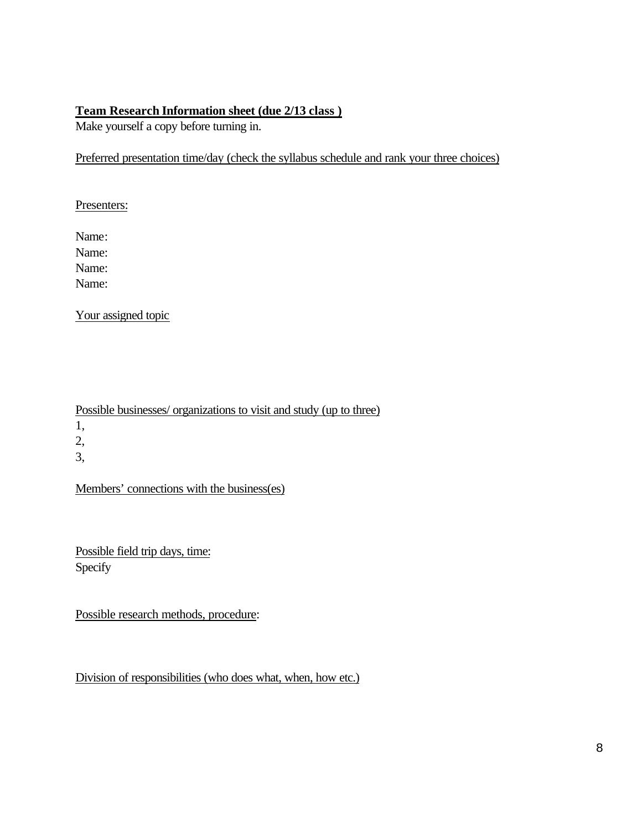# **Team Research Information sheet (due 2/13 class )**

Make yourself a copy before turning in.

Preferred presentation time/day (check the syllabus schedule and rank your three choices)

# Presenters:

Name: Name: Name: Name:

Your assigned topic

Possible businesses/ organizations to visit and study (up to three)

1,

2,

3,

Members' connections with the business(es)

Possible field trip days, time: Specify

Possible research methods, procedure:

Division of responsibilities (who does what, when, how etc.)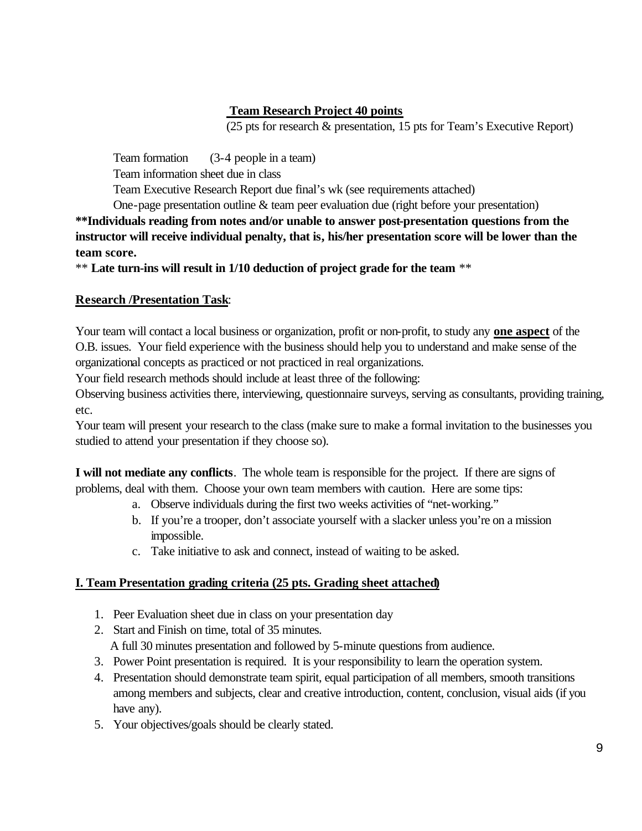# **Team Research Project 40 points**

(25 pts for research & presentation, 15 pts for Team's Executive Report)

Team formation (3-4 people in a team)

Team information sheet due in class

Team Executive Research Report due final's wk (see requirements attached)

One-page presentation outline & team peer evaluation due (right before your presentation) **\*\*Individuals reading from notes and/or unable to answer post-presentation questions from the instructor will receive individual penalty, that is, his/her presentation score will be lower than the team score.**

\*\* **Late turn-ins will result in 1/10 deduction of project grade for the team** \*\*

# **Research /Presentation Task**:

Your team will contact a local business or organization, profit or non-profit, to study any **one aspect** of the O.B. issues. Your field experience with the business should help you to understand and make sense of the organizational concepts as practiced or not practiced in real organizations.

Your field research methods should include at least three of the following:

Observing business activities there, interviewing, questionnaire surveys, serving as consultants, providing training, etc.

Your team will present your research to the class (make sure to make a formal invitation to the businesses you studied to attend your presentation if they choose so).

**I will not mediate any conflicts**. The whole team is responsible for the project. If there are signs of problems, deal with them. Choose your own team members with caution. Here are some tips:

- a. Observe individuals during the first two weeks activities of "net-working."
- b. If you're a trooper, don't associate yourself with a slacker unless you're on a mission impossible.
- c. Take initiative to ask and connect, instead of waiting to be asked.

# **I. Team Presentation grading criteria (25 pts. Grading sheet attached)**

- 1. Peer Evaluation sheet due in class on your presentation day
- 2. Start and Finish on time, total of 35 minutes.

A full 30 minutes presentation and followed by 5-minute questions from audience.

- 3. Power Point presentation is required. It is your responsibility to learn the operation system.
- 4. Presentation should demonstrate team spirit, equal participation of all members, smooth transitions among members and subjects, clear and creative introduction, content, conclusion, visual aids (if you have any).
- 5. Your objectives/goals should be clearly stated.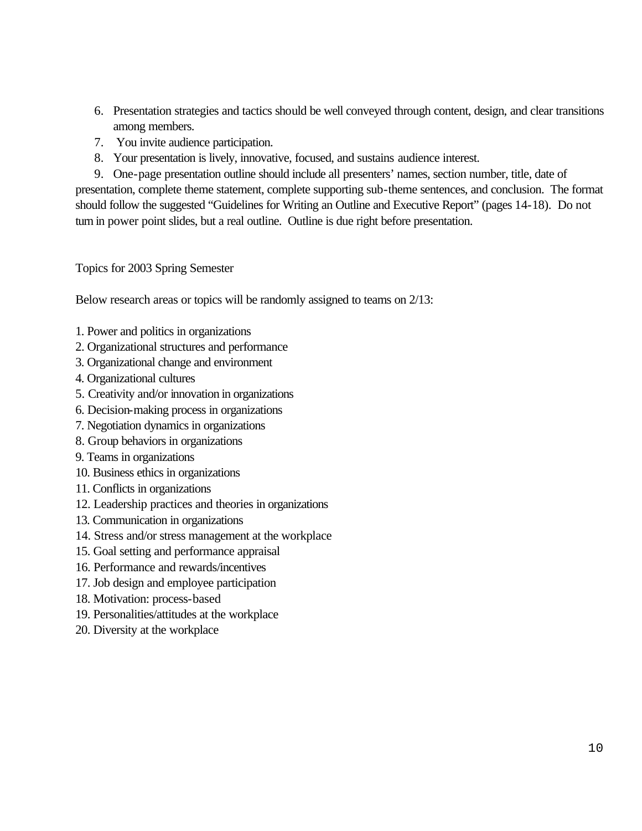- 6. Presentation strategies and tactics should be well conveyed through content, design, and clear transitions among members.
- 7. You invite audience participation.
- 8. Your presentation is lively, innovative, focused, and sustains audience interest.

 9. One-page presentation outline should include all presenters' names, section number, title, date of presentation, complete theme statement, complete supporting sub-theme sentences, and conclusion. The format should follow the suggested "Guidelines for Writing an Outline and Executive Report" (pages 14-18). Do not turn in power point slides, but a real outline. Outline is due right before presentation.

Topics for 2003 Spring Semester

Below research areas or topics will be randomly assigned to teams on 2/13:

- 1. Power and politics in organizations
- 2. Organizational structures and performance
- 3. Organizational change and environment
- 4. Organizational cultures
- 5. Creativity and/or innovation in organizations
- 6. Decision-making process in organizations
- 7. Negotiation dynamics in organizations
- 8. Group behaviors in organizations
- 9. Teams in organizations
- 10. Business ethics in organizations
- 11. Conflicts in organizations
- 12. Leadership practices and theories in organizations
- 13. Communication in organizations
- 14. Stress and/or stress management at the workplace
- 15. Goal setting and performance appraisal
- 16. Performance and rewards/incentives
- 17. Job design and employee participation
- 18. Motivation: process-based
- 19. Personalities/attitudes at the workplace
- 20. Diversity at the workplace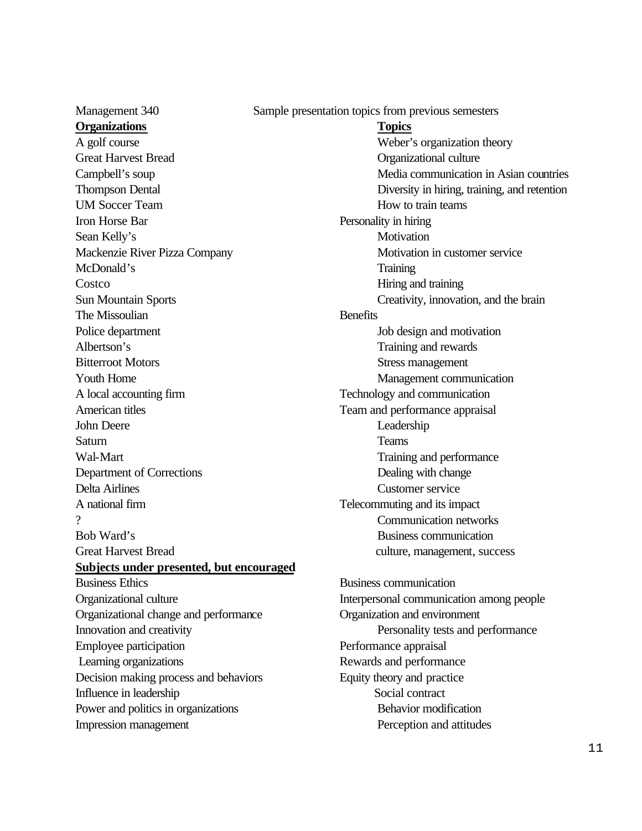Management 340 Sample presentation topics from previous semesters A golf course **Business Ethics** Organizational culture Organizational change and performance Organization and environment Innovation and creativity Employee participation extension and Performance appraisal Learning organizations Decision making process and behaviors Equity theory and practice Influence in leadership Social contract Power and politics in organizations Behavior modification **Impression management** Perception and attitudes **Organizations Topics**  Great Harvest Bread Campbell's soup Thompson Dental UM Soccer Team Iron Horse Bar Sean Kelly's Mackenzie River Pizza Company McDonald's **Costco** Sun Mountain Sports The Missoulian Police department Albertson's Bitterroot Motors Youth Home A local accounting firm American titles John Deere Saturn Wal-Mart Department of Corrections Delta Airlines A national firm  $\gamma$ Bob Ward's Great Harvest Bread **Subjects under presented, but encouraged** 

Weber's organization theory Organizational culture Media communication in Asian countries Diversity in hiring, training, and retention How to train teams Personality in hiring **Motivation** Motivation in customer service **Training** Hiring and training Creativity, innovation, and the brain **Benefits** Job design and motivation Training and rewards Stress management Management communication Technology and communication Team and performance appraisal Leadership Teams Training and performance Dealing with change Customer service Telecommuting and its impact Communication networks Business communication culture, management, success Business communication Interpersonal communication among people Personality tests and performance Rewards and performance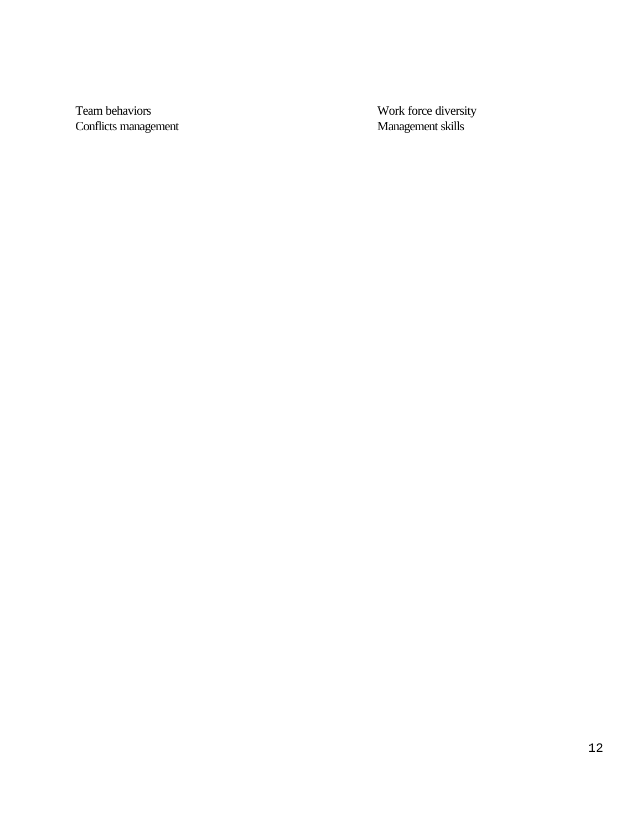Team behaviors Conflicts management **Management** Skills

Work force diversity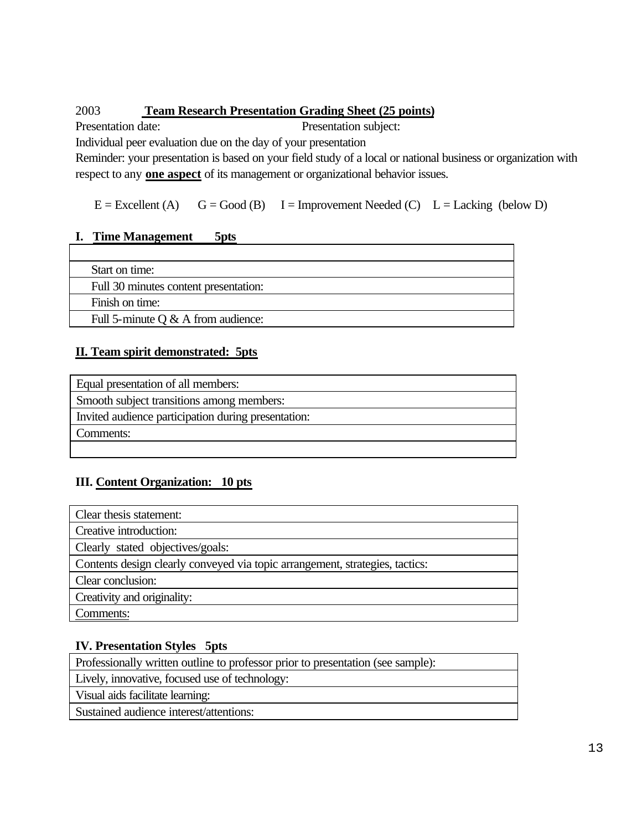# 2003 **Team Research Presentation Grading Sheet (25 points)**

Presentation date: Presentation subject:

Individual peer evaluation due on the day of your presentation

Reminder: your presentation is based on your field study of a local or national business or organization with respect to any **one aspect** of its management or organizational behavior issues.

 $E =$  Excellent (A)  $G = Good(B)$  I = Improvement Needed (C) L = Lacking (below D)

# **I. Time Management 5pts**

| Start on time:                        |  |
|---------------------------------------|--|
| Full 30 minutes content presentation: |  |
| Finish on time:                       |  |
| Full 5-minute $Q \& A$ from audience: |  |
|                                       |  |

# **II. Team spirit demonstrated: 5pts**

| Equal presentation of all members:                  |
|-----------------------------------------------------|
| Smooth subject transitions among members:           |
| Invited audience participation during presentation: |
| Comments:                                           |
|                                                     |

# **III. Content Organization: 10 pts**

| Clear thesis statement:                                                      |
|------------------------------------------------------------------------------|
| Creative introduction:                                                       |
| Clearly stated objectives/goals:                                             |
| Contents design clearly conveyed via topic arrangement, strategies, tactics: |
| Clear conclusion:                                                            |
| Creativity and originality:                                                  |
| Comments:                                                                    |
|                                                                              |

# **IV. Presentation Styles 5pts**

| Professionally written outline to professor prior to presentation (see sample): |
|---------------------------------------------------------------------------------|
| Lively, innovative, focused use of technology:                                  |
| Visual aids facilitate learning:                                                |
| Sustained audience interest/attentions:                                         |
|                                                                                 |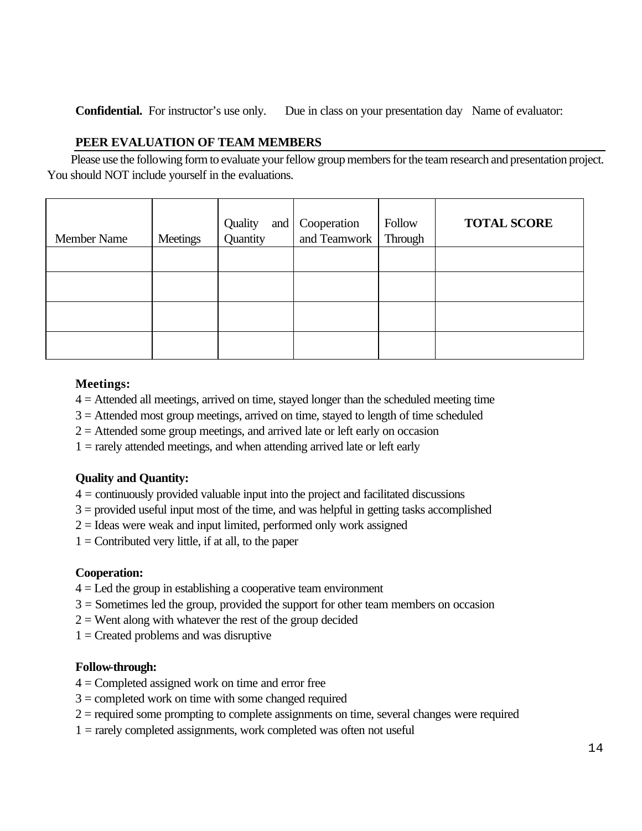**Confidential.** For instructor's use only. Due in class on your presentation day Name of evaluator:

# **PEER EVALUATION OF TEAM MEMBERS**

Please use the following form to evaluate your fellow group members for the team research and presentation project. You should NOT include yourself in the evaluations.

| <b>Member Name</b> | Meetings | Quality<br>Quantity | and   Cooperation<br>and Teamwork   Through | Follow | <b>TOTAL SCORE</b> |
|--------------------|----------|---------------------|---------------------------------------------|--------|--------------------|
|                    |          |                     |                                             |        |                    |
|                    |          |                     |                                             |        |                    |
|                    |          |                     |                                             |        |                    |
|                    |          |                     |                                             |        |                    |

# **Meetings:**

- 4 = Attended all meetings, arrived on time, stayed longer than the scheduled meeting time
- 3 = Attended most group meetings, arrived on time, stayed to length of time scheduled
- $2 =$  Attended some group meetings, and arrived late or left early on occasion
- $1 =$  rarely attended meetings, and when attending arrived late or left early

# **Quality and Quantity:**

- $4 =$  continuously provided valuable input into the project and facilitated discussions
- $3$  = provided useful input most of the time, and was helpful in getting tasks accomplished
- $2 =$ Ideas were weak and input limited, performed only work assigned
- $1 =$  Contributed very little, if at all, to the paper

# **Cooperation:**

- $4 =$  Led the group in establishing a cooperative team environment
- 3 = Sometimes led the group, provided the support for other team members on occasion
- $2 =$  Went along with whatever the rest of the group decided
- $1 =$ Created problems and was disruptive

# **Follow-through:**

- $4 =$ Completed assigned work on time and error free
- $3 =$  completed work on time with some changed required
- $2$  = required some prompting to complete assignments on time, several changes were required
- $1 =$  rarely completed assignments, work completed was often not useful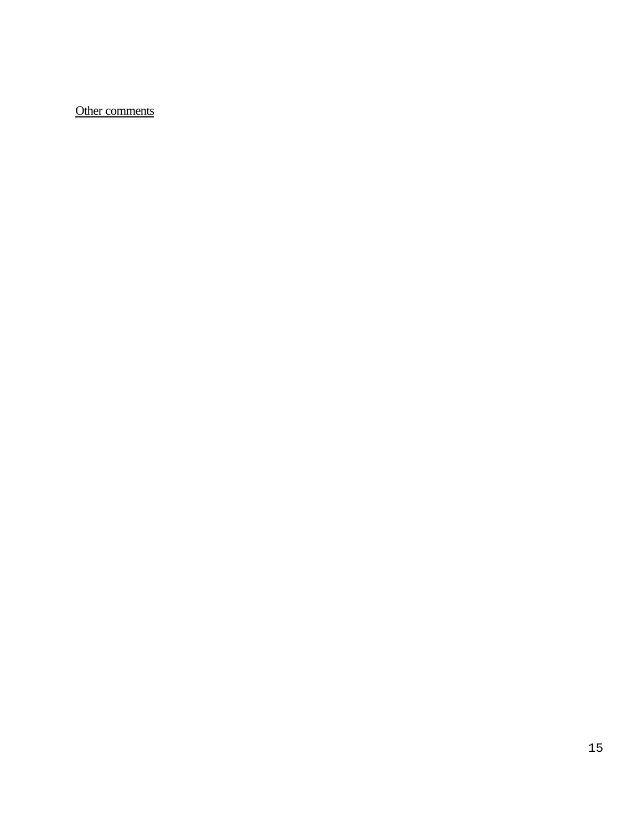Other comments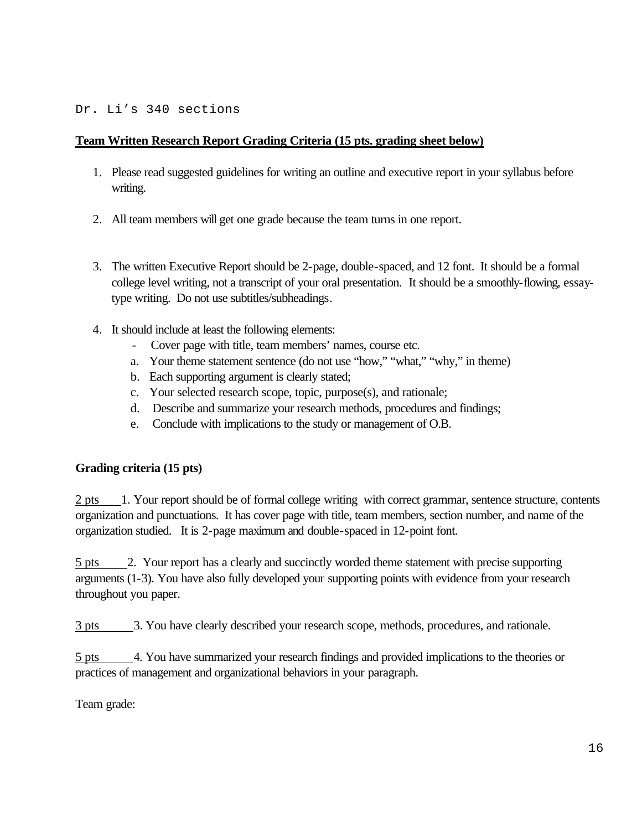## Dr. Li's 340 sections

# **Team Written Research Report Grading Criteria (15 pts. grading sheet below)**

- 1. Please read suggested guidelines for writing an outline and executive report in your syllabus before writing.
- 2. All team members will get one grade because the team turns in one report.
- 3. The written Executive Report should be 2-page, double-spaced, and 12 font. It should be a formal college level writing, not a transcript of your oral presentation. It should be a smoothly-flowing, essaytype writing. Do not use subtitles/subheadings.
- 4. It should include at least the following elements:
	- Cover page with title, team members' names, course etc.
	- a. Your theme statement sentence (do not use "how," "what," "why," in theme)
	- b. Each supporting argument is clearly stated;
	- c. Your selected research scope, topic, purpose(s), and rationale;
	- d. Describe and summarize your research methods, procedures and findings;
	- e. Conclude with implications to the study or management of O.B.

# **Grading criteria (15 pts)**

2 pts 1. Your report should be of formal college writing with correct grammar, sentence structure, contents organization and punctuations. It has cover page with title, team members, section number, and name of the organization studied. It is 2-page maximum and double-spaced in 12-point font.

5 pts 2. Your report has a clearly and succinctly worded theme statement with precise supporting arguments (1-3). You have also fully developed your supporting points with evidence from your research throughout you paper.

3 pts 3. You have clearly described your research scope, methods, procedures, and rationale.

5 pts 4. You have summarized your research findings and provided implications to the theories or practices of management and organizational behaviors in your paragraph.

Team grade: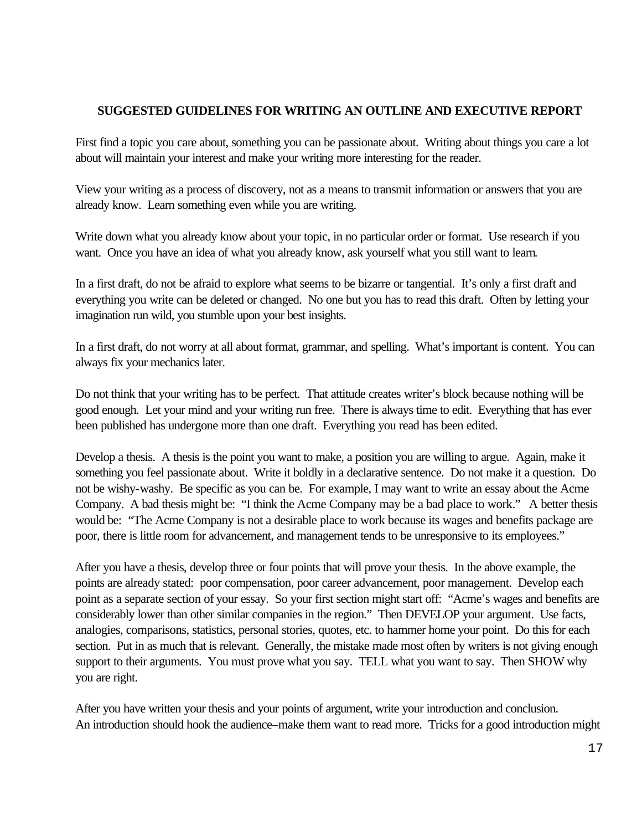# **SUGGESTED GUIDELINES FOR WRITING AN OUTLINE AND EXECUTIVE REPORT**

First find a topic you care about, something you can be passionate about. Writing about things you care a lot about will maintain your interest and make your writing more interesting for the reader.

View your writing as a process of discovery, not as a means to transmit information or answers that you are already know. Learn something even while you are writing.

Write down what you already know about your topic, in no particular order or format. Use research if you want. Once you have an idea of what you already know, ask yourself what you still want to learn.

In a first draft, do not be afraid to explore what seems to be bizarre or tangential. It's only a first draft and everything you write can be deleted or changed. No one but you has to read this draft. Often by letting your imagination run wild, you stumble upon your best insights.

In a first draft, do not worry at all about format, grammar, and spelling. What's important is content. You can always fix your mechanics later.

Do not think that your writing has to be perfect. That attitude creates writer's block because nothing will be good enough. Let your mind and your writing run free. There is always time to edit. Everything that has ever been published has undergone more than one draft. Everything you read has been edited.

Develop a thesis. A thesis is the point you want to make, a position you are willing to argue. Again, make it something you feel passionate about. Write it boldly in a declarative sentence. Do not make it a question. Do not be wishy-washy. Be specific as you can be. For example, I may want to write an essay about the Acme Company. A bad thesis might be: "I think the Acme Company may be a bad place to work." A better thesis would be: "The Acme Company is not a desirable place to work because its wages and benefits package are poor, there is little room for advancement, and management tends to be unresponsive to its employees."

After you have a thesis, develop three or four points that will prove your thesis. In the above example, the points are already stated: poor compensation, poor career advancement, poor management. Develop each point as a separate section of your essay. So your first section might start off: "Acme's wages and benefits are considerably lower than other similar companies in the region." Then DEVELOP your argument. Use facts, analogies, comparisons, statistics, personal stories, quotes, etc. to hammer home your point. Do this for each section. Put in as much that is relevant. Generally, the mistake made most often by writers is not giving enough support to their arguments. You must prove what you say. TELL what you want to say. Then SHOW why you are right.

After you have written your thesis and your points of argument, write your introduction and conclusion. An introduction should hook the audience–make them want to read more. Tricks for a good introduction might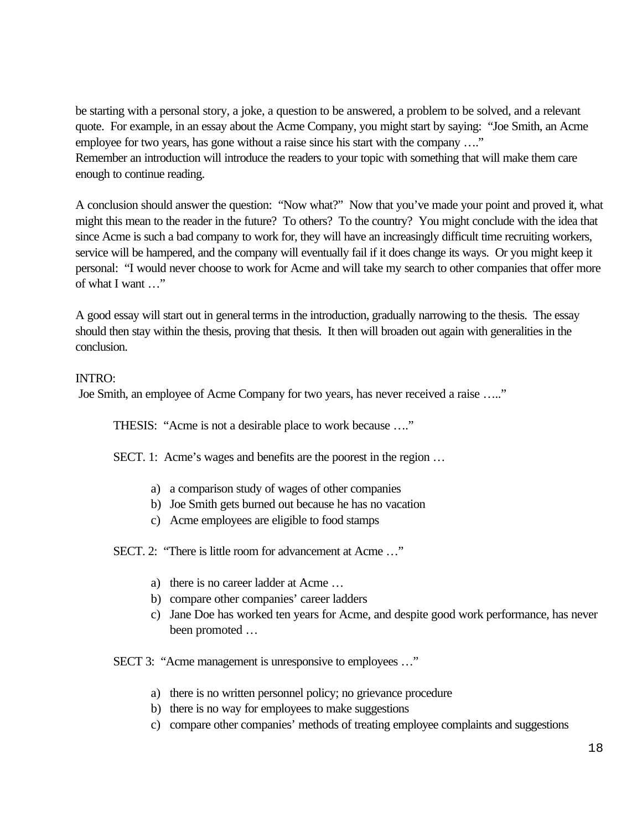be starting with a personal story, a joke, a question to be answered, a problem to be solved, and a relevant quote. For example, in an essay about the Acme Company, you might start by saying: "Joe Smith, an Acme employee for two years, has gone without a raise since his start with the company ...." Remember an introduction will introduce the readers to your topic with something that will make them care enough to continue reading.

A conclusion should answer the question: "Now what?" Now that you've made your point and proved it, what might this mean to the reader in the future? To others? To the country? You might conclude with the idea that since Acme is such a bad company to work for, they will have an increasingly difficult time recruiting workers, service will be hampered, and the company will eventually fail if it does change its ways. Or you might keep it personal: "I would never choose to work for Acme and will take my search to other companies that offer more of what I want …"

A good essay will start out in general terms in the introduction, gradually narrowing to the thesis. The essay should then stay within the thesis, proving that thesis. It then will broaden out again with generalities in the conclusion.

# INTRO:

Joe Smith, an employee of Acme Company for two years, has never received a raise ….."

THESIS: "Acme is not a desirable place to work because …."

SECT. 1: Acme's wages and benefits are the poorest in the region …

- a) a comparison study of wages of other companies
- b) Joe Smith gets burned out because he has no vacation
- c) Acme employees are eligible to food stamps

SECT. 2: "There is little room for advancement at Acme …"

- a) there is no career ladder at Acme …
- b) compare other companies' career ladders
- c) Jane Doe has worked ten years for Acme, and despite good work performance, has never been promoted …

SECT 3: "Acme management is unresponsive to employees …"

- a) there is no written personnel policy; no grievance procedure
- b) there is no way for employees to make suggestions
- c) compare other companies' methods of treating employee complaints and suggestions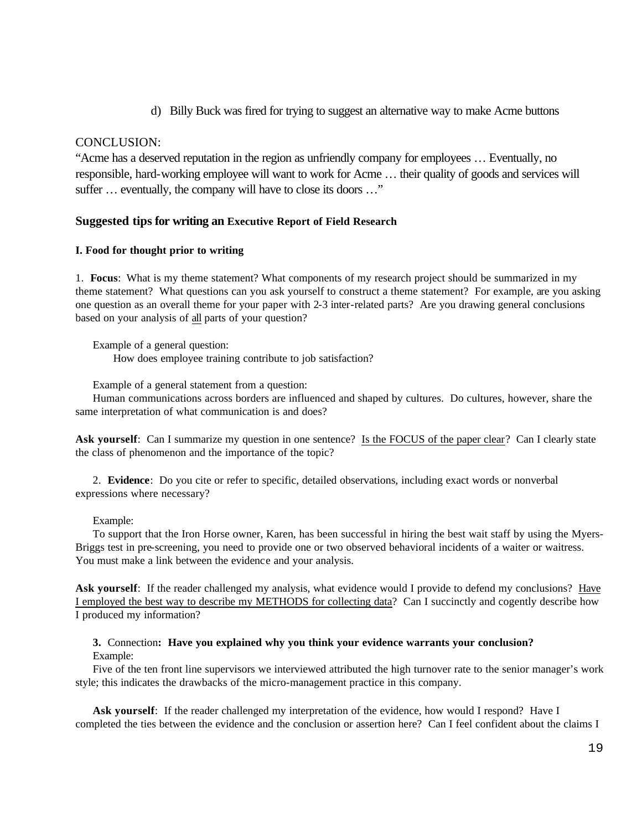d) Billy Buck was fired for trying to suggest an alternative way to make Acme buttons

#### CONCLUSION:

"Acme has a deserved reputation in the region as unfriendly company for employees … Eventually, no responsible, hard-working employee will want to work for Acme … their quality of goods and services will suffer ... eventually, the company will have to close its doors ..."

#### **Suggested tips for writing an Executive Report of Field Research**

#### **I. Food for thought prior to writing**

1. **Focus**: What is my theme statement? What components of my research project should be summarized in my theme statement? What questions can you ask yourself to construct a theme statement? For example, are you asking one question as an overall theme for your paper with 2-3 inter-related parts? Are you drawing general conclusions based on your analysis of all parts of your question?

Example of a general question:

How does employee training contribute to job satisfaction?

Example of a general statement from a question:

Human communications across borders are influenced and shaped by cultures. Do cultures, however, share the same interpretation of what communication is and does?

Ask yourself: Can I summarize my question in one sentence? Is the FOCUS of the paper clear? Can I clearly state the class of phenomenon and the importance of the topic?

2. **Evidence**: Do you cite or refer to specific, detailed observations, including exact words or nonverbal expressions where necessary?

#### Example:

To support that the Iron Horse owner, Karen, has been successful in hiring the best wait staff by using the Myers-Briggs test in pre-screening, you need to provide one or two observed behavioral incidents of a waiter or waitress. You must make a link between the evidence and your analysis.

Ask yourself: If the reader challenged my analysis, what evidence would I provide to defend my conclusions? Have I employed the best way to describe my METHODS for collecting data? Can I succinctly and cogently describe how I produced my information?

#### **3.** Connection**: Have you explained why you think your evidence warrants your conclusion?** Example:

Five of the ten front line supervisors we interviewed attributed the high turnover rate to the senior manager's work style; this indicates the drawbacks of the micro-management practice in this company.

**Ask yourself**: If the reader challenged my interpretation of the evidence, how would I respond? Have I completed the ties between the evidence and the conclusion or assertion here? Can I feel confident about the claims I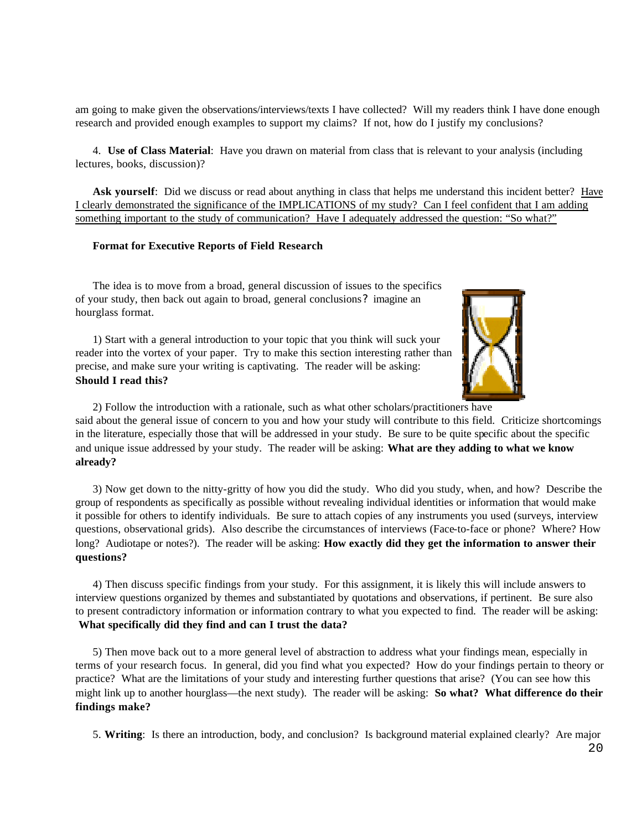am going to make given the observations/interviews/texts I have collected? Will my readers think I have done enough research and provided enough examples to support my claims? If not, how do I justify my conclusions?

4. **Use of Class Material**: Have you drawn on material from class that is relevant to your analysis (including lectures, books, discussion)?

**Ask yourself**: Did we discuss or read about anything in class that helps me understand this incident better? Have I clearly demonstrated the significance of the IMPLICATIONS of my study? Can I feel confident that I am adding something important to the study of communication? Have I adequately addressed the question: "So what?"

#### **Format for Executive Reports of Field Research**

The idea is to move from a broad, general discussion of issues to the specifics of your study, then back out again to broad, general conclusions? imagine an hourglass format.

1) Start with a general introduction to your topic that you think will suck your reader into the vortex of your paper. Try to make this section interesting rather than precise, and make sure your writing is captivating. The reader will be asking: **Should I read this?** 



 **already?** 2) Follow the introduction with a rationale, such as what other scholars/practitioners have said about the general issue of concern to you and how your study will contribute to this field. Criticize shortcomings in the literature, especially those that will be addressed in your study. Be sure to be quite specific about the specific and unique issue addressed by your study. The reader will be asking: **What are they adding to what we know** 

3) Now get down to the nitty-gritty of how you did the study. Who did you study, when, and how? Describe the group of respondents as specifically as possible without revealing individual identities or information that would make it possible for others to identify individuals. Be sure to attach copies of any instruments you used (surveys, interview questions, observational grids). Also describe the circumstances of interviews (Face-to-face or phone? Where? How long? Audiotape or notes?). The reader will be asking: **How exactly did they get the information to answer their questions?** 

4) Then discuss specific findings from your study. For this assignment, it is likely this will include answers to interview questions organized by themes and substantiated by quotations and observations, if pertinent. Be sure also to present contradictory information or information contrary to what you expected to find. The reader will be asking: **What specifically did they find and can I trust the data?** 

5) Then move back out to a more general level of abstraction to address what your findings mean, especially in terms of your research focus. In general, did you find what you expected? How do your findings pertain to theory or practice? What are the limitations of your study and interesting further questions that arise? (You can see how this might link up to another hourglass—the next study). The reader will be asking: **So what? What difference do their findings make?** 

5. **Writing**: Is there an introduction, body, and conclusion? Is background material explained clearly? Are major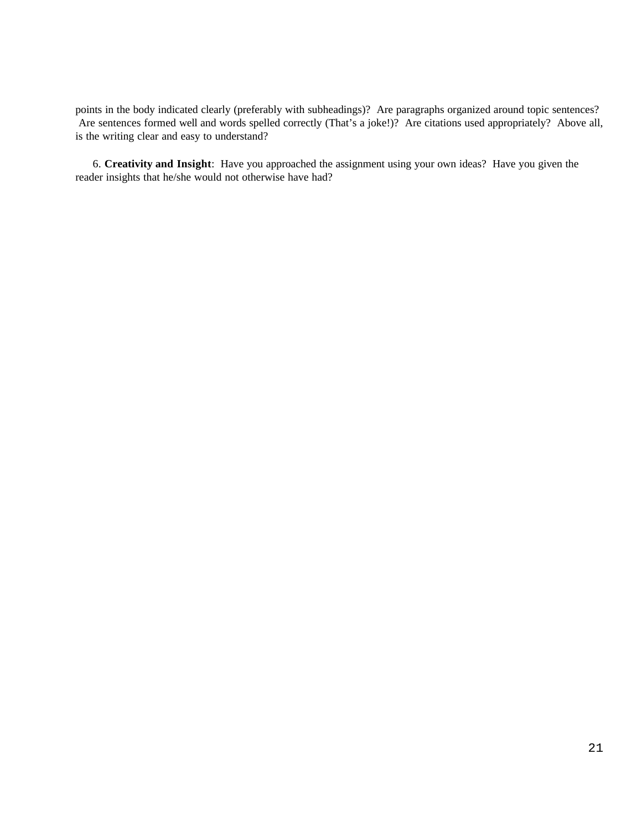points in the body indicated clearly (preferably with subheadings)? Are paragraphs organized around topic sentences? Are sentences formed well and words spelled correctly (That's a joke!)? Are citations used appropriately? Above all, is the writing clear and easy to understand?

6. **Creativity and Insight**: Have you approached the assignment using your own ideas? Have you given the reader insights that he/she would not otherwise have had?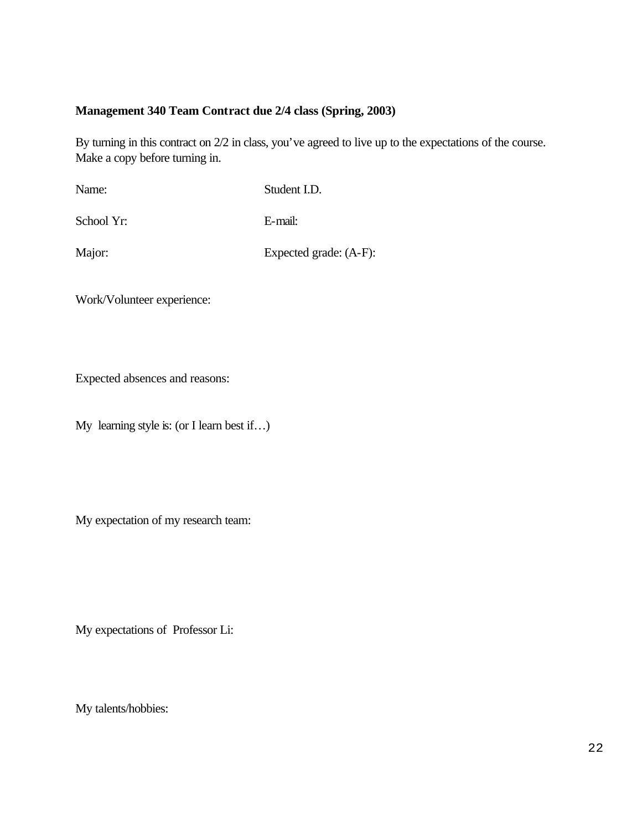# **Management 340 Team Contract due 2/4 class (Spring, 2003)**

By turning in this contract on  $2/2$  in class, you've agreed to live up to the expectations of the course. Make a copy before turning in.

| Name:      | Student I.D.           |
|------------|------------------------|
| School Yr: | E-mail:                |
| Major:     | Expected grade: (A-F): |

Work/Volunteer experience:

Expected absences and reasons:

My learning style is: (or I learn best if…)

My expectation of my research team:

My expectations of Professor Li:

My talents/hobbies: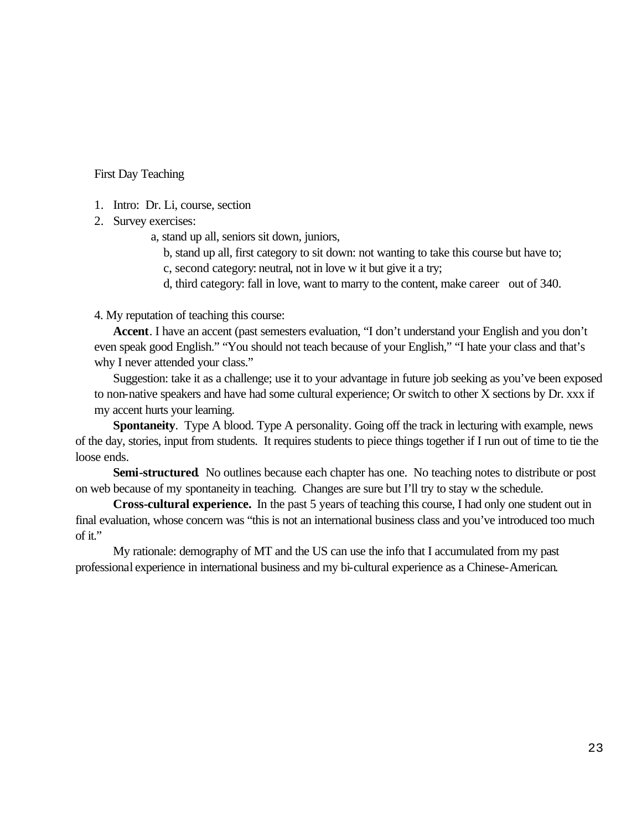First Day Teaching

- 1. Intro: Dr. Li, course, section
- 2. Survey exercises:
	- a, stand up all, seniors sit down, juniors,
		- b, stand up all, first category to sit down: not wanting to take this course but have to;
		- c, second category: neutral, not in love w it but give it a try;
		- d, third category: fall in love, want to marry to the content, make career out of 340.

4. My reputation of teaching this course:

**Accent**. I have an accent (past semesters evaluation, "I don't understand your English and you don't even speak good English." "You should not teach because of your English," "I hate your class and that's why I never attended your class."

Suggestion: take it as a challenge; use it to your advantage in future job seeking as you've been exposed to non-native speakers and have had some cultural experience; Or switch to other X sections by Dr. xxx if my accent hurts your learning.

**Spontaneity**. Type A blood. Type A personality. Going off the track in lecturing with example, news of the day, stories, input from students. It requires students to piece things together if I run out of time to tie the loose ends.

**Semi-structured**. No outlines because each chapter has one. No teaching notes to distribute or post on web because of my spontaneity in teaching. Changes are sure but I'll try to stay w the schedule.

**Cross-cultural experience.** In the past 5 years of teaching this course, I had only one student out in final evaluation, whose concern was "this is not an international business class and you've introduced too much of it."

My rationale: demography of MT and the US can use the info that I accumulated from my past professional experience in international business and my bi-cultural experience as a Chinese-American.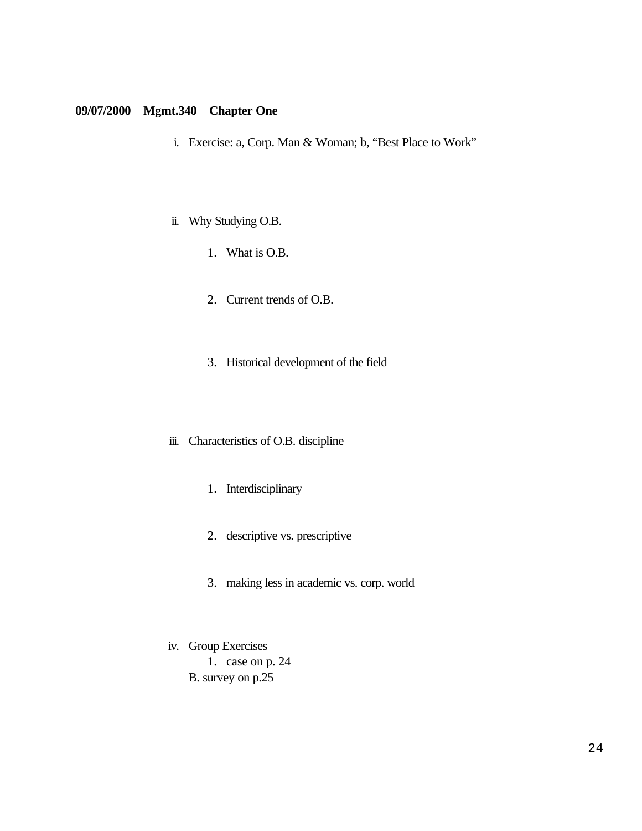# **09/07/2000 Mgmt.340 Chapter One**

- i. Exercise: a, Corp. Man & Woman; b, "Best Place to Work"
- ii. Why Studying O.B.
	- 1. What is O.B.
	- 2. Current trends of O.B.
	- 3. Historical development of the field
- iii. Characteristics of O.B. discipline
	- 1. Interdisciplinary
	- 2. descriptive vs. prescriptive
	- 3. making less in academic vs. corp. world
- iv. Group Exercises
	- 1. case on p. 24
	- B. survey on p.25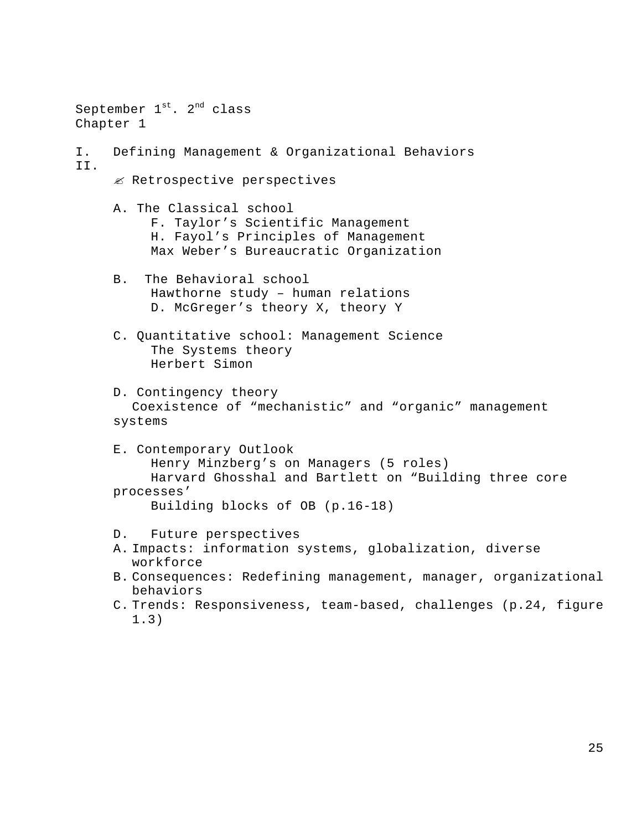September  $1^{st}$ .  $2^{nd}$  class Chapter 1 I. Defining Management & Organizational Behaviors II. � Retrospective perspectives A. The Classical school F. Taylor's Scientific Management H. Fayol's Principles of Management Max Weber's Bureaucratic Organization B. The Behavioral school Hawthorne study – human relations D. McGreger's theory X, theory Y C. Quantitative school: Management Science The Systems theory Herbert Simon D. Contingency theory Coexistence of "mechanistic" and "organic" management systems E. Contemporary Outlook Henry Minzberg's on Managers (5 roles) Harvard Ghosshal and Bartlett on "Building three core processes' Building blocks of OB (p.16-18) D. Future perspectives A. Impacts: information systems, globalization, diverse workforce B. Consequences: Redefining management, manager, organizational behaviors C. Trends: Responsiveness, team-based, challenges (p.24, figure 1.3)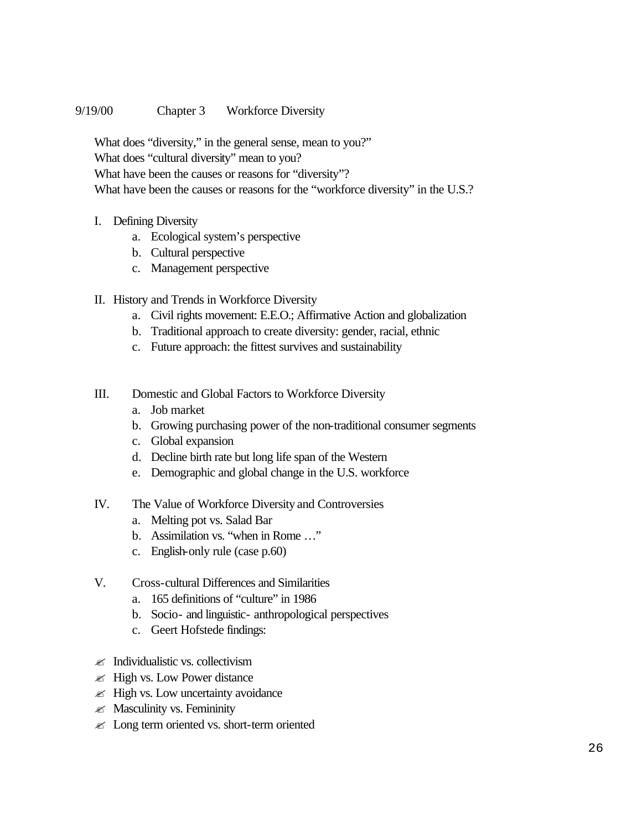## 9/19/00 Chapter 3 Workforce Diversity

What does "diversity," in the general sense, mean to you?" What does "cultural diversity" mean to you? What have been the causes or reasons for "diversity"? What have been the causes or reasons for the "workforce diversity" in the U.S.?

- I. Defining Diversity
	- a. Ecological system's perspective
	- b. Cultural perspective
	- c. Management perspective
- II. History and Trends in Workforce Diversity
	- a. Civil rights movement: E.E.O.; Affirmative Action and globalization
	- b. Traditional approach to create diversity: gender, racial, ethnic
	- c. Future approach: the fittest survives and sustainability
- III. Domestic and Global Factors to Workforce Diversity
	- a. Job market
	- b. Growing purchasing power of the non-traditional consumer segments
	- c. Global expansion
	- d. Decline birth rate but long life span of the Western
	- e. Demographic and global change in the U.S. workforce
- IV. The Value of Workforce Diversity and Controversies
	- a. Melting pot vs. Salad Bar
	- b. Assimilation vs. "when in Rome …"
	- c. English-only rule (case p.60)
- V. Cross-cultural Differences and Similarities
	- a. 165 definitions of "culture" in 1986
	- b. Socio- and linguistic- anthropological perspectives
	- c. Geert Hofstede findings:
- $\mathscr{\mathscr{A}}$  Individualistic vs. collectivism
- $\mathscr{\mathscr{E}}$  High vs. Low Power distance
- $\mathscr{L}$  High vs. Low uncertainty avoidance
- $\mathscr{A}$  Masculinity vs. Femininity
- $\mathscr{L}$  Long term oriented vs. short-term oriented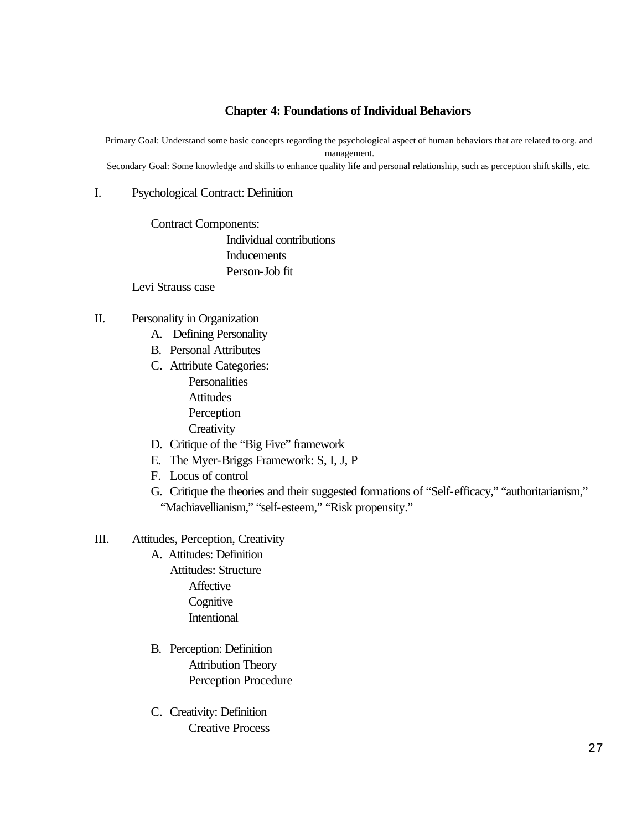## **Chapter 4: Foundations of Individual Behaviors**

Primary Goal: Understand some basic concepts regarding the psychological aspect of human behaviors that are related to org. and management.

Secondary Goal: Some knowledge and skills to enhance quality life and personal relationship, such as perception shift skills, etc.

#### I. Psychological Contract: Definition

Contract Components: Individual contributions Inducements Person-Job fit Levi Strauss case

- II. Personality in Organization
	- A. Defining Personality
	- B. Personal Attributes
	- C. Attribute Categories: Personalities **Attitudes** Perception **Creativity**
	- D. Critique of the "Big Five" framework
	- E. The Myer-Briggs Framework: S, I, J, P
	- F. Locus of control
	- G. Critique the theories and their suggested formations of "Self-efficacy," "authoritarianism," "Machiavellianism," "self-esteem," "Risk propensity."
- III. Attitudes, Perception, Creativity
	- A. Attitudes: Definition Attitudes: Structure Affective **Cognitive** Intentional
	- B. Perception: Definition Attribution Theory Perception Procedure
	- C. Creativity: Definition Creative Process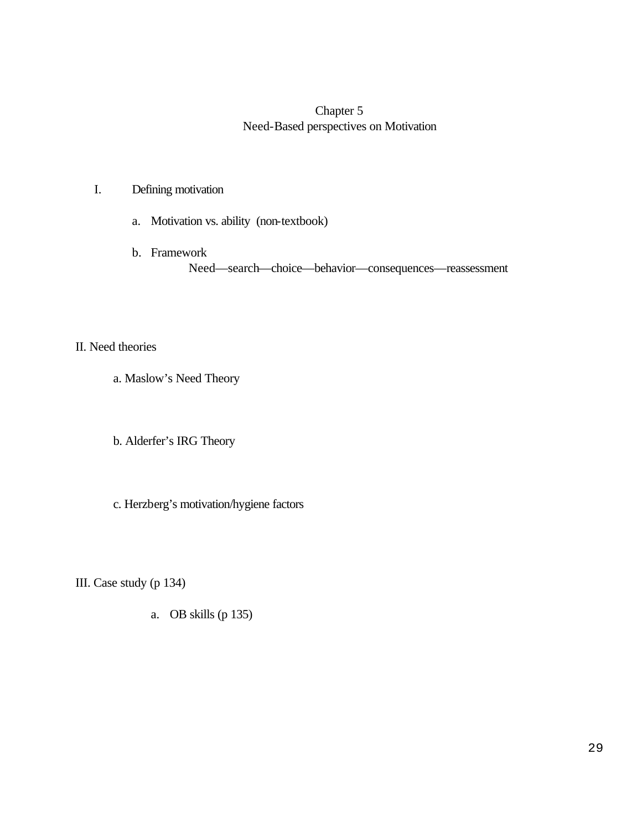# Chapter 5 Need-Based perspectives on Motivation

- I. Defining motivation
	- a. Motivation vs. ability (non-textbook)
	- b. Framework

Need—search—choice—behavior—consequences—reassessment

# II. Need theories

a. Maslow's Need Theory

b. Alderfer's IRG Theory

c. Herzberg's motivation/hygiene factors

III. Case study (p 134)

a. OB skills (p 135)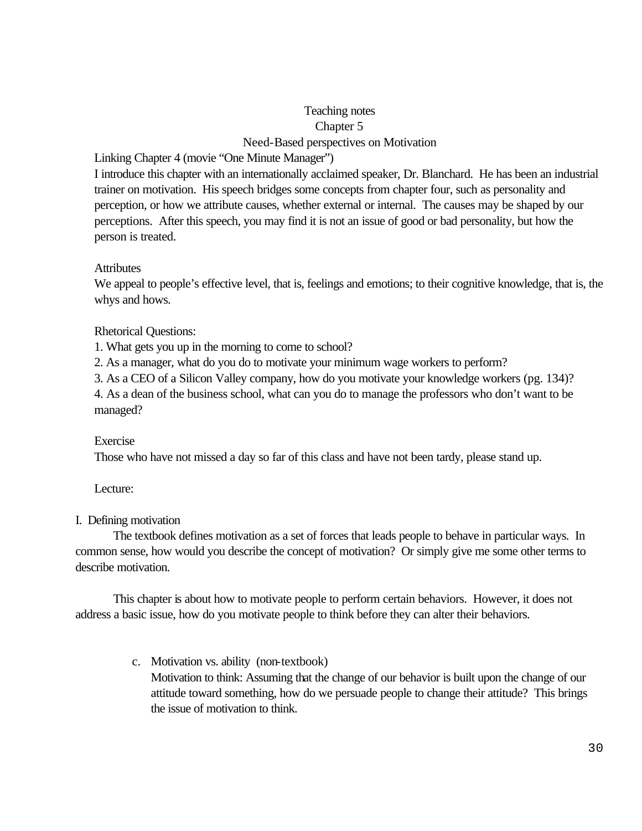# Teaching notes Chapter 5 Need-Based perspectives on Motivation

Linking Chapter 4 (movie "One Minute Manager")

I introduce this chapter with an internationally acclaimed speaker, Dr. Blanchard. He has been an industrial trainer on motivation. His speech bridges some concepts from chapter four, such as personality and perception, or how we attribute causes, whether external or internal. The causes may be shaped by our perceptions. After this speech, you may find it is not an issue of good or bad personality, but how the person is treated.

# **Attributes**

We appeal to people's effective level, that is, feelings and emotions; to their cognitive knowledge, that is, the whys and hows.

Rhetorical Questions:

1. What gets you up in the morning to come to school?

2. As a manager, what do you do to motivate your minimum wage workers to perform?

3. As a CEO of a Silicon Valley company, how do you motivate your knowledge workers (pg. 134)?

4. As a dean of the business school, what can you do to manage the professors who don't want to be managed?

# Exercise

Those who have not missed a day so far of this class and have not been tardy, please stand up.

Lecture:

# I. Defining motivation

The textbook defines motivation as a set of forces that leads people to behave in particular ways. In common sense, how would you describe the concept of motivation? Or simply give me some other terms to describe motivation.

This chapter is about how to motivate people to perform certain behaviors. However, it does not address a basic issue, how do you motivate people to think before they can alter their behaviors.

> c. Motivation vs. ability (non-textbook) Motivation to think: Assuming that the change of our behavior is built upon the change of our attitude toward something, how do we persuade people to change their attitude? This brings the issue of motivation to think.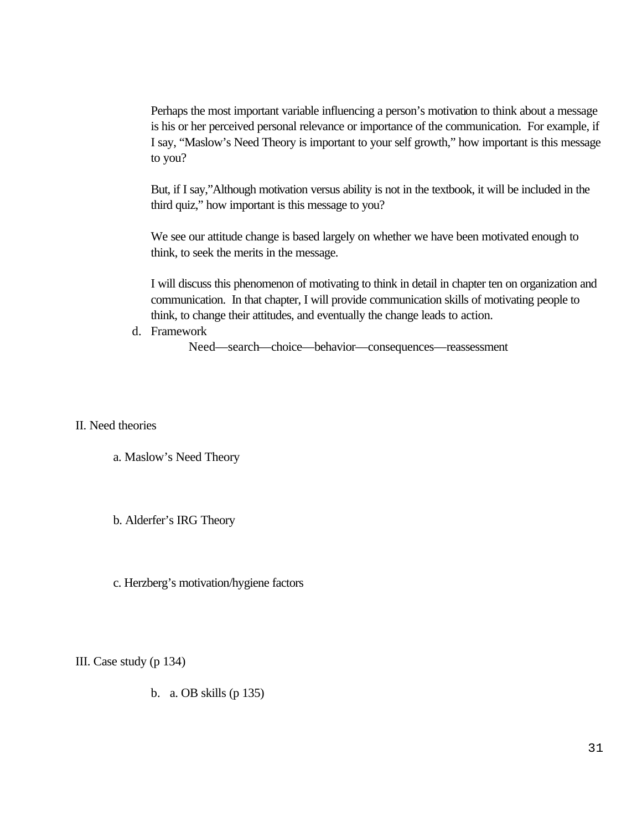Perhaps the most important variable influencing a person's motivation to think about a message is his or her perceived personal relevance or importance of the communication. For example, if I say, "Maslow's Need Theory is important to your self growth," how important is this message to you?

But, if I say,"Although motivation versus ability is not in the textbook, it will be included in the third quiz," how important is this message to you?

We see our attitude change is based largely on whether we have been motivated enough to think, to seek the merits in the message.

I will discuss this phenomenon of motivating to think in detail in chapter ten on organization and communication. In that chapter, I will provide communication skills of motivating people to think, to change their attitudes, and eventually the change leads to action.

d. Framework

Need—search—choice—behavior—consequences—reassessment

II. Need theories

a. Maslow's Need Theory

b. Alderfer's IRG Theory

c. Herzberg's motivation/hygiene factors

III. Case study (p 134)

b. a. OB skills (p 135)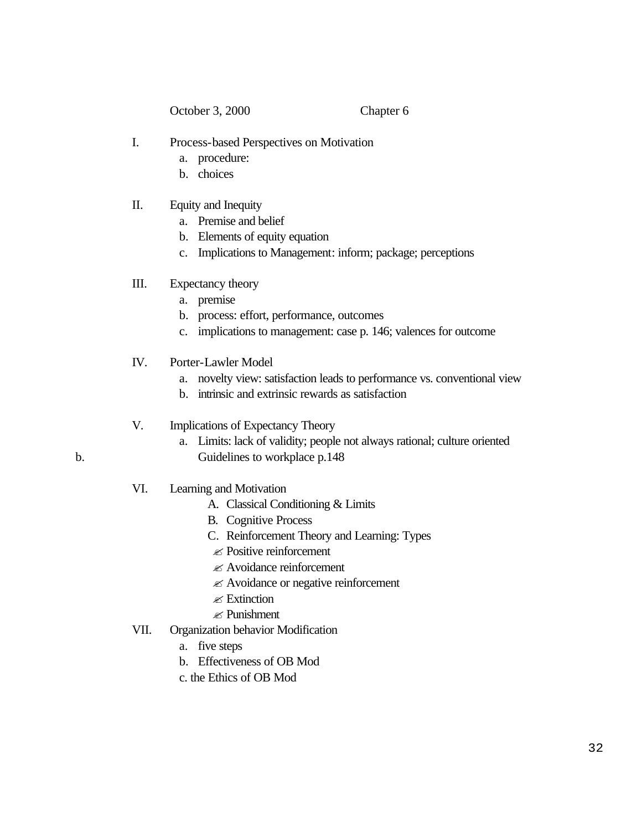October 3, 2000 Chapter 6

- I. Process-based Perspectives on Motivation
	- a. procedure:
	- b. choices
- II. Equity and Inequity
	- a. Premise and belief
	- b. Elements of equity equation
	- c. Implications to Management: inform; package; perceptions
- III. Expectancy theory
	- a. premise
	- b. process: effort, performance, outcomes
	- c. implications to management: case p. 146; valences for outcome
- IV. Porter-Lawler Model
	- a. novelty view: satisfaction leads to performance vs. conventional view
	- b. intrinsic and extrinsic rewards as satisfaction
- V. Implications of Expectancy Theory
	- a. Limits: lack of validity; people not always rational; culture oriented Guidelines to workplace p.148
- VI. Learning and Motivation
	- A. Classical Conditioning & Limits
	- B. Cognitive Process
	- C. Reinforcement Theory and Learning: Types
	- $\ll$  Positive reinforcement
	- $\mathscr{\mathscr{A}}$  Avoidance reinforcement
	- $\mathscr{\mathscr{E}}$  Avoidance or negative reinforcement
	- $\mathscr{\mathscr{E}}$  Extinction
	- $\mathscr{\mathscr{E}}$  Punishment
- VII. Organization behavior Modification
	- a. five steps
	- b. Effectiveness of OB Mod
	- c. the Ethics of OB Mod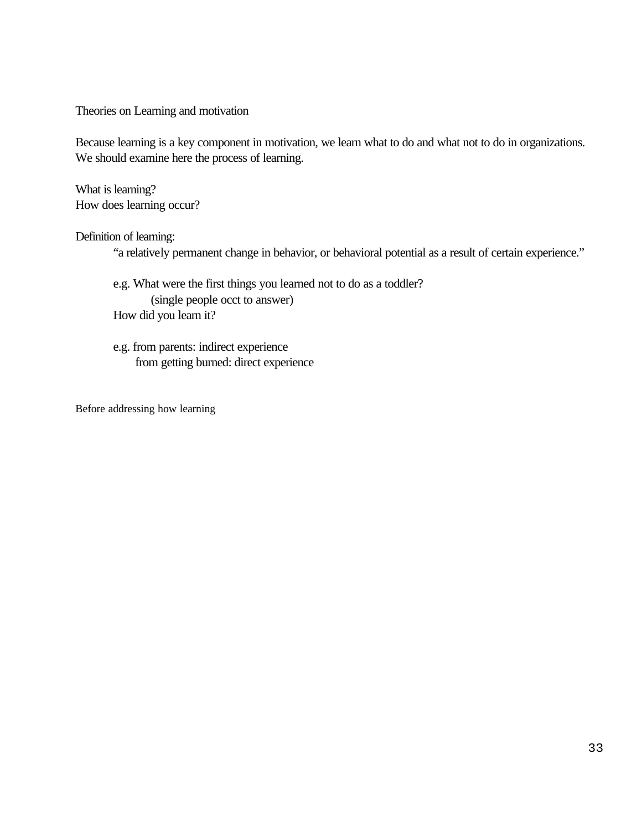Theories on Learning and motivation

Because learning is a key component in motivation, we learn what to do and what not to do in organizations. We should examine here the process of learning.

What is learning? How does learning occur?

Definition of learning:

"a relatively permanent change in behavior, or behavioral potential as a result of certain experience."

e.g. What were the first things you learned not to do as a toddler? (single people occt to answer) How did you learn it?

e.g. from parents: indirect experience from getting burned: direct experience

 Before addressing how learning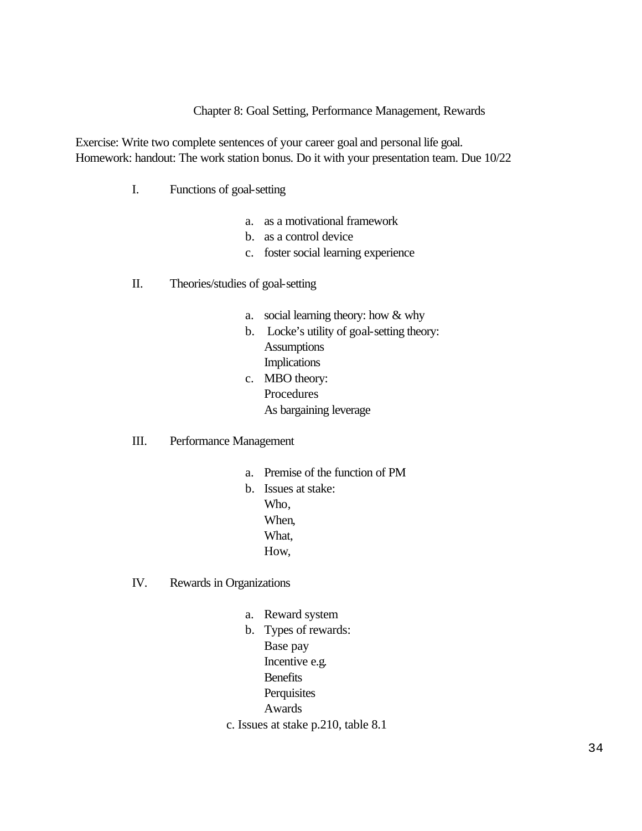Chapter 8: Goal Setting, Performance Management, Rewards

Exercise: Write two complete sentences of your career goal and personal life goal. Homework: handout: The work station bonus. Do it with your presentation team. Due 10/22

- I. Functions of goal-setting
	- a. as a motivational framework
	- b. as a control device
	- c. foster social learning experience

## II. Theories/studies of goal-setting

- a. social learning theory: how & why
- b. Locke's utility of goal-setting theory: c. MBO theory: **Assumptions**  Implications Procedures As bargaining leverage

#### III. Performance Management

- a. Premise of the function of PM
- b. Issues at stake: Who, When, What, How,
- IV. Rewards in Organizations
	- a. Reward system
	- Incentive e.g. Benefits b. Types of rewards: Base pay **Perquisites** Awards
	- c. Issues at stake p.210, table 8.1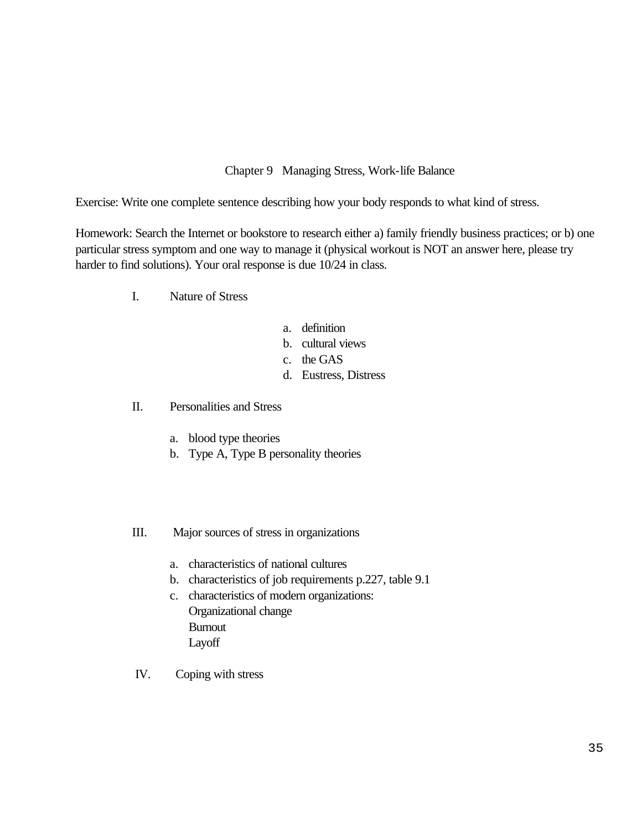Chapter 9 Managing Stress, Work-life Balance

Exercise: Write one complete sentence describing how your body responds to what kind of stress.

Homework: Search the Internet or bookstore to research either a) family friendly business practices; or b) one particular stress symptom and one way to manage it (physical workout is NOT an answer here, please try harder to find solutions). Your oral response is due 10/24 in class.

- I. Nature of Stress
- a. definition
- b. cultural views
- c. the GAS
- d. Eustress, Distress
- II. Personalities and Stress
	- a. blood type theories
	-
- b. Type A, Type B personality theories<br>III. Major sources of stress in organizations
	- a. characteristics of national cultures
	- b. characteristics of job requirements p.227, table 9.1
	- c. characteristics of modern organizations: Organizational change Burnout Layoff
- IV. Coping with stress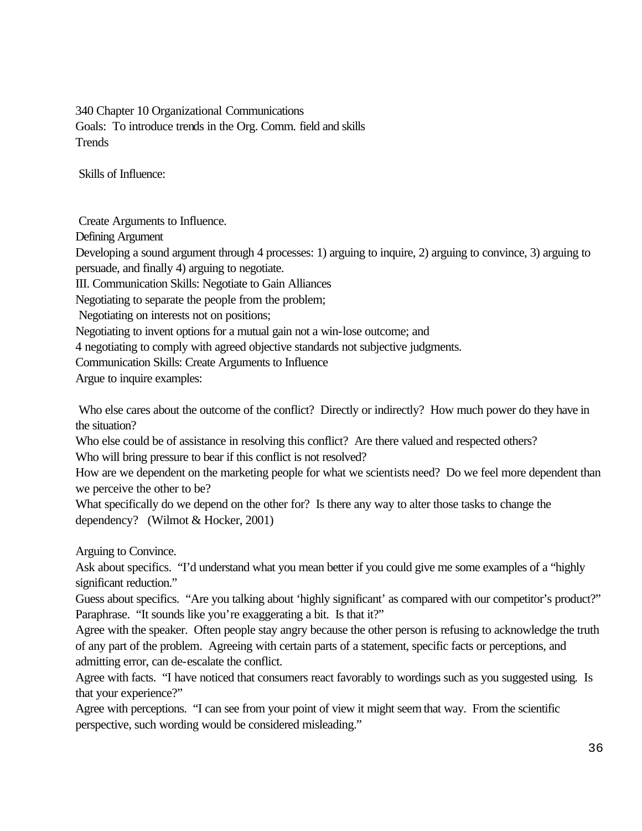340 Chapter 10 Organizational Communications Goals: To introduce trends in the Org. Comm. field and skills **Trends** 

Skills of Influence:

Create Arguments to Influence.

Defining Argument

Developing a sound argument through 4 processes: 1) arguing to inquire, 2) arguing to convince, 3) arguing to persuade, and finally 4) arguing to negotiate.

III. Communication Skills: Negotiate to Gain Alliances

Negotiating to separate the people from the problem;

Negotiating on interests not on positions;

Negotiating to invent options for a mutual gain not a win-lose outcome; and

4 negotiating to comply with agreed objective standards not subjective judgments.

Communication Skills: Create Arguments to Influence

Argue to inquire examples:

Who else cares about the outcome of the conflict? Directly or indirectly? How much power do they have in the situation?

Who else could be of assistance in resolving this conflict? Are there valued and respected others? Who will bring pressure to bear if this conflict is not resolved?

How are we dependent on the marketing people for what we scientists need? Do we feel more dependent than we perceive the other to be?

What specifically do we depend on the other for? Is there any way to alter those tasks to change the dependency? (Wilmot & Hocker, 2001)

Arguing to Convince.

Ask about specifics. "I'd understand what you mean better if you could give me some examples of a "highly significant reduction."

Guess about specifics. "Are you talking about 'highly significant' as compared with our competitor's product?" Paraphrase. "It sounds like you're exaggerating a bit. Is that it?"

Agree with the speaker. Often people stay angry because the other person is refusing to acknowledge the truth of any part of the problem. Agreeing with certain parts of a statement, specific facts or perceptions, and admitting error, can de-escalate the conflict.

Agree with facts. "I have noticed that consumers react favorably to wordings such as you suggested using. Is that your experience?"

Agree with perceptions. "I can see from your point of view it might seem that way. From the scientific perspective, such wording would be considered misleading."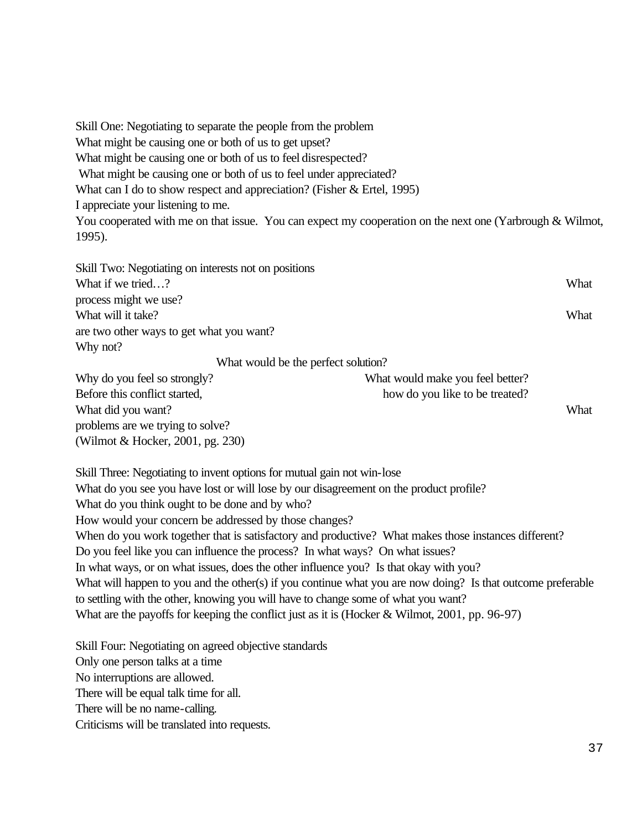Skill One: Negotiating to separate the people from the problem What might be causing one or both of us to get upset? What might be causing one or both of us to feel disrespected? What might be causing one or both of us to feel under appreciated? What can I do to show respect and appreciation? (Fisher & Ertel, 1995) I appreciate your listening to me. You cooperated with me on that issue. You can expect my cooperation on the next one (Yarbrough & Wilmot, 1995).

| Skill Two: Negotiating on interests not on positions |                                  |      |
|------------------------------------------------------|----------------------------------|------|
| What if we tried?                                    |                                  | What |
| process might we use?                                |                                  |      |
| What will it take?                                   |                                  | What |
| are two other ways to get what you want?             |                                  |      |
| Why not?                                             |                                  |      |
| What would be the perfect solution?                  |                                  |      |
| Why do you feel so strongly?                         | What would make you feel better? |      |
| Before this conflict started,                        | how do you like to be treated?   |      |
| What did you want?                                   |                                  | What |
| problems are we trying to solve?                     |                                  |      |
| (Wilmot & Hocker, 2001, pg. 230)                     |                                  |      |

Skill Three: Negotiating to invent options for mutual gain not win-lose What do you see you have lost or will lose by our disagreement on the product profile? What do you think ought to be done and by who? How would your concern be addressed by those changes? When do you work together that is satisfactory and productive? What makes those instances different? Do you feel like you can influence the process? In what ways? On what issues? In what ways, or on what issues, does the other influence you? Is that okay with you? What will happen to you and the other(s) if you continue what you are now doing? Is that outcome preferable to settling with the other, knowing you will have to change some of what you want? What are the payoffs for keeping the conflict just as it is (Hocker & Wilmot, 2001, pp. 96-97)

Skill Four: Negotiating on agreed objective standards Only one person talks at a time No interruptions are allowed. There will be equal talk time for all. There will be no name-calling. Criticisms will be translated into requests.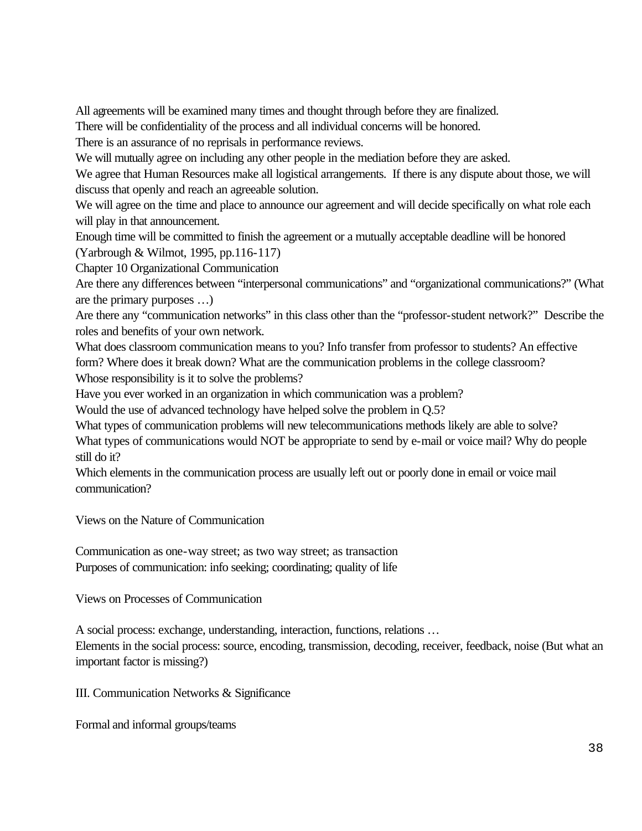All agreements will be examined many times and thought through before they are finalized.

There will be confidentiality of the process and all individual concerns will be honored.

There is an assurance of no reprisals in performance reviews.

We will mutually agree on including any other people in the mediation before they are asked.

We agree that Human Resources make all logistical arrangements. If there is any dispute about those, we will discuss that openly and reach an agreeable solution.

We will agree on the time and place to announce our agreement and will decide specifically on what role each will play in that announcement.

Enough time will be committed to finish the agreement or a mutually acceptable deadline will be honored (Yarbrough & Wilmot, 1995, pp.116-117)

Chapter 10 Organizational Communication

Are there any differences between "interpersonal communications" and "organizational communications?" (What are the primary purposes …)

Are there any "communication networks" in this class other than the "professor-student network?" Describe the roles and benefits of your own network.

What does classroom communication means to you? Info transfer from professor to students? An effective form? Where does it break down? What are the communication problems in the college classroom? Whose responsibility is it to solve the problems?

Have you ever worked in an organization in which communication was a problem?

Would the use of advanced technology have helped solve the problem in Q.5?

What types of communication problems will new telecommunications methods likely are able to solve? What types of communications would NOT be appropriate to send by e-mail or voice mail? Why do people still do it?

Which elements in the communication process are usually left out or poorly done in email or voice mail communication?

Views on the Nature of Communication

Communication as one-way street; as two way street; as transaction Purposes of communication: info seeking; coordinating; quality of life

Views on Processes of Communication

A social process: exchange, understanding, interaction, functions, relations …

Elements in the social process: source, encoding, transmission, decoding, receiver, feedback, noise (But what an important factor is missing?)

III. Communication Networks & Significance

Formal and informal groups/teams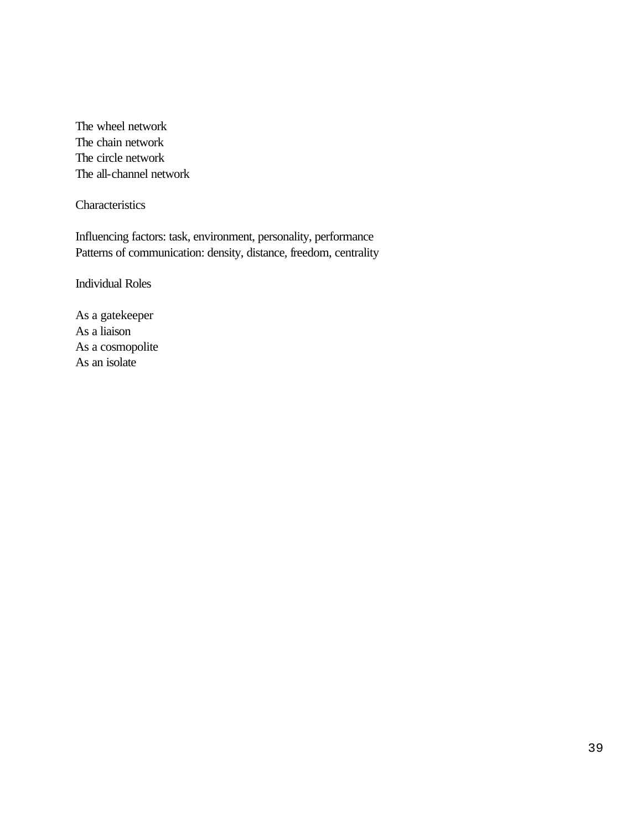The wheel network The chain network The circle network The all-channel network

**Characteristics** 

Influencing factors: task, environment, personality, performance Patterns of communication: density, distance, freedom, centrality

Individual Roles

As a gatekeeper As a liaison As a cosmopolite As an isolate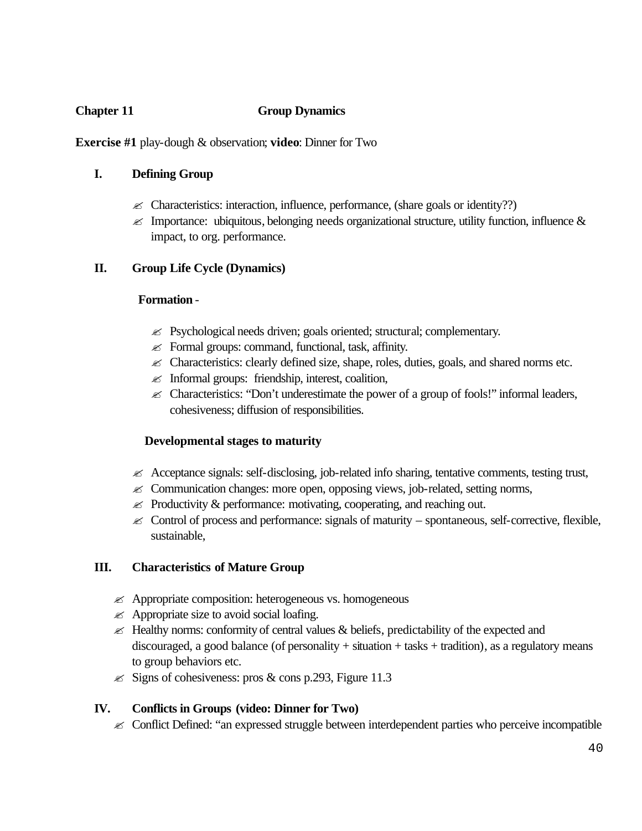# **Chapter 11** Group Dynamics

**Exercise #1** play-dough & observation; **video**: Dinner for Two

# **I. Defining Group**

- $\ll$  Characteristics: interaction, influence, performance, (share goals or identity??)
- $\ll$  Importance: ubiquitous, belonging needs organizational structure, utility function, influence & impact, to org. performance.

# **II. Group Life Cycle (Dynamics)**

# **Formation**

- $\mathcal{L}$  Psychological needs driven; goals oriented; structural; complementary.
- $\mathscr{L}$  Formal groups: command, functional, task, affinity.
- $\mathcal{L}$  Characteristics: clearly defined size, shape, roles, duties, goals, and shared norms etc.
- $\mathscr{A}$  Informal groups: friendship, interest, coalition,
- � Characteristics: "Don't underestimate the power of a group of fools!" informal leaders, cohesiveness; diffusion of responsibilities.

# **Developmental stages to maturity**

- $\ll$  Acceptance signals: self-disclosing, job-related info sharing, tentative comments, testing trust,
- $\ll$  Communication changes: more open, opposing views, job-related, setting norms,
- $\mathcal{L}$  Productivity & performance: motivating, cooperating, and reaching out.
- $\ll$  Control of process and performance: signals of maturity spontaneous, self-corrective, flexible, sustainable,

# **III. Characteristics of Mature Group**

- $\mathscr{A}$  Appropriate composition: heterogeneous vs. homogeneous
- $\approx$  Appropriate size to avoid social loafing.
- $\ll$  Healthy norms: conformity of central values & beliefs, predictability of the expected and discouraged, a good balance (of personality  $+$  situation  $+$  tasks  $+$  tradition), as a regulatory means to group behaviors etc.
- $\&$  Signs of cohesiveness: pros & cons p.293, Figure 11.3

# **IV. Conflicts in Groups (video: Dinner for Two)**

 $\ll$  Conflict Defined: "an expressed struggle between interdependent parties who perceive incompatible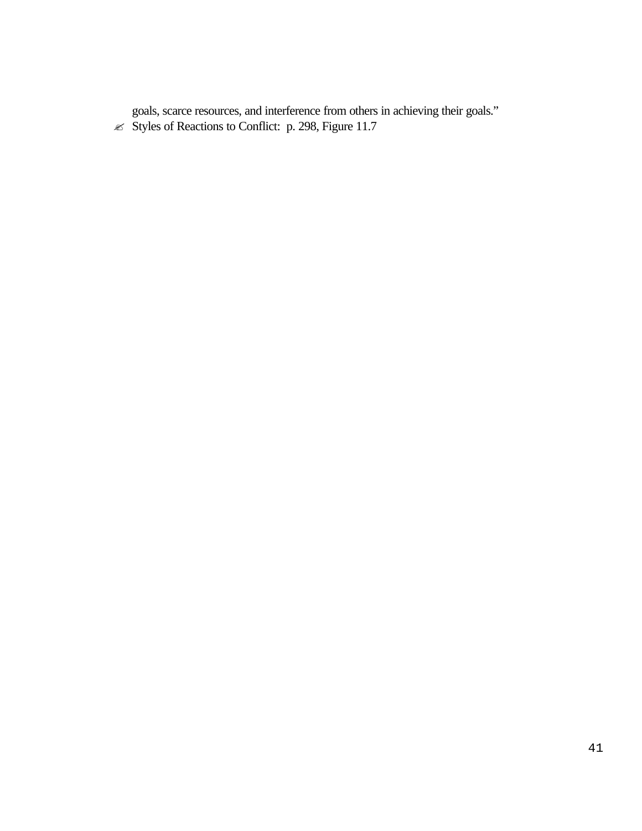goals, scarce resources, and interference from others in achieving their goals."

 $\ll$  Styles of Reactions to Conflict: p. 298, Figure 11.7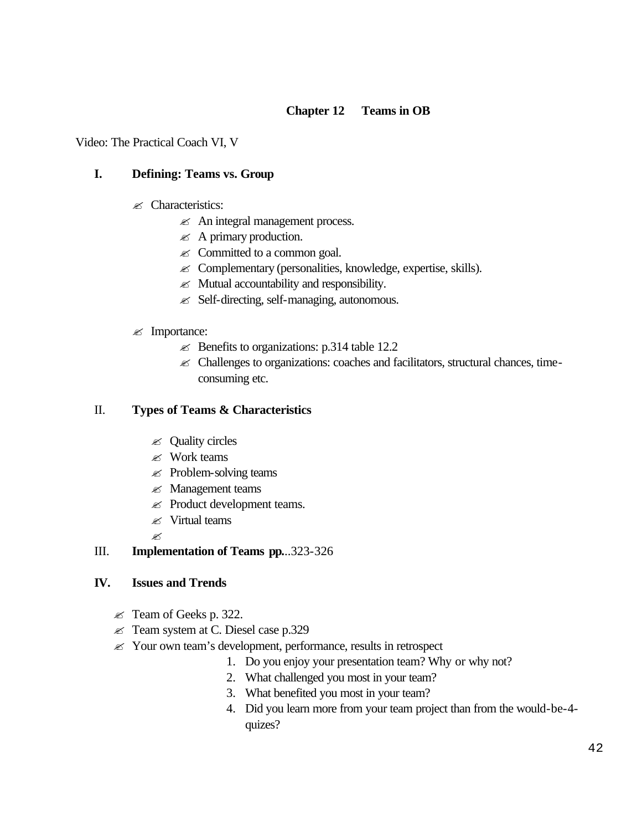# **Chapter 12 Teams in OB**

Video: The Practical Coach VI, V

# **I. Defining: Teams vs. Group**

- $\mathscr{\mathscr{E}}$  Characteristics:
	- $\mathcal{L}$  An integral management process.
	- $\mathscr{\mathscr{A}}$  A primary production.
	- $\mathscr{L}$  Committed to a common goal.
	- $\&\infty$  Complementary (personalities, knowledge, expertise, skills).
	- $\mathscr{A}$  Mutual accountability and responsibility.
	- $\mathcal{L}$  Self-directing, self-managing, autonomous.
- � Importance:
	- $\approx$  Benefits to organizations: p.314 table 12.2
	- $\mathcal{L}$  Challenges to organizations: coaches and facilitators, structural chances, timeconsuming etc.

# II. **Types of Teams & Characteristics**

- $\mathscr{\mathscr{A}}$  Quality circles
- $\mathscr{L}$  Work teams
- $\mathcal{L}$  Problem-solving teams
- $\mathscr{\mathscr{A}}$  Management teams
- $\mathcal{L}$  Product development teams.
- $\mathscr{L}$  Virtual teams
- �

# III. **Implementation of Teams pp.**..323-326

## **IV. Issues and Trends**

- $\mathscr{\mathscr{E}}$  Team of Geeks p. 322.
- $\approx$  Team system at C. Diesel case p.329
- $\mathscr{L}$  Your own team's development, performance, results in retrospect
	- 1. Do you enjoy your presentation team? Why or why not?
	- 2. What challenged you most in your team?
	- 3. What benefited you most in your team?
	- 4. Did you learn more from your team project than from the would-be-4quizes?